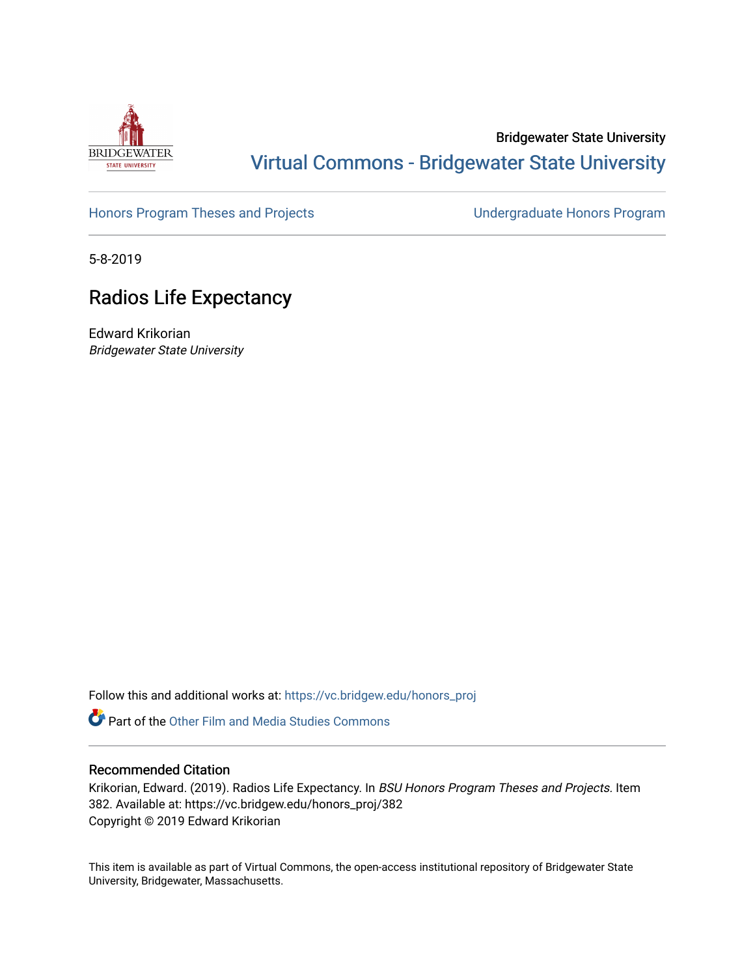

## Bridgewater State University [Virtual Commons - Bridgewater State University](https://vc.bridgew.edu/)

## [Honors Program Theses and Projects](https://vc.bridgew.edu/honors_proj) [Undergraduate Honors Program](https://vc.bridgew.edu/honors)

5-8-2019

# Radios Life Expectancy

Edward Krikorian Bridgewater State University

Follow this and additional works at: [https://vc.bridgew.edu/honors\\_proj](https://vc.bridgew.edu/honors_proj?utm_source=vc.bridgew.edu%2Fhonors_proj%2F382&utm_medium=PDF&utm_campaign=PDFCoverPages)

**Part of the Other Film and Media Studies Commons** 

## Recommended Citation

Krikorian, Edward. (2019). Radios Life Expectancy. In BSU Honors Program Theses and Projects. Item 382. Available at: https://vc.bridgew.edu/honors\_proj/382 Copyright © 2019 Edward Krikorian

This item is available as part of Virtual Commons, the open-access institutional repository of Bridgewater State University, Bridgewater, Massachusetts.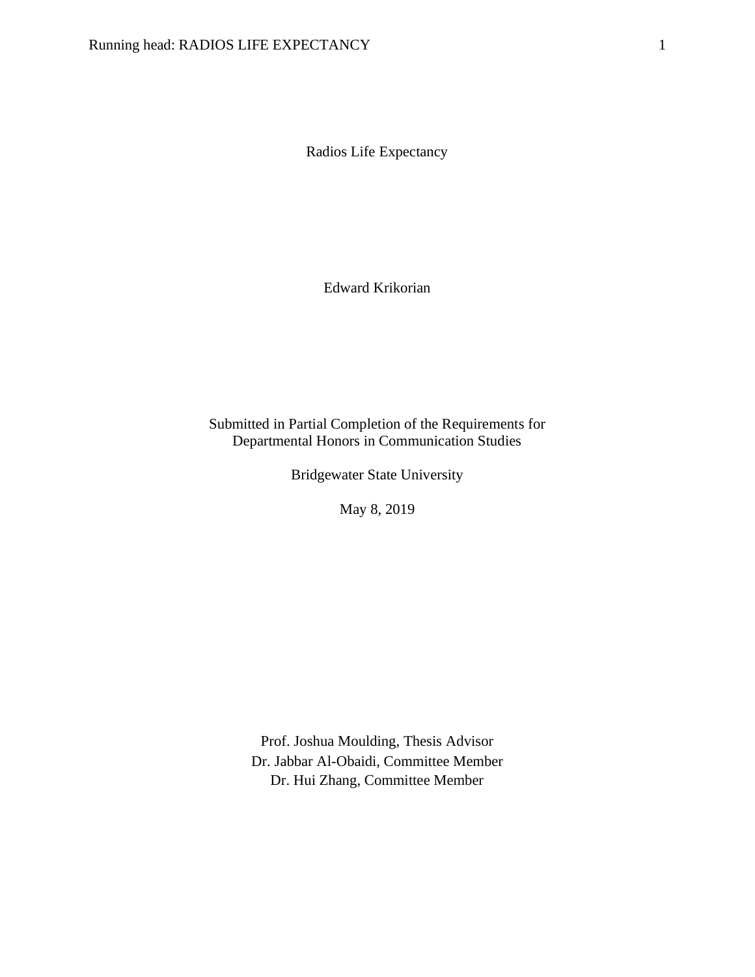Radios Life Expectancy

Edward Krikorian

## Submitted in Partial Completion of the Requirements for Departmental Honors in Communication Studies

Bridgewater State University

May 8, 2019

Prof. Joshua Moulding, Thesis Advisor Dr. Jabbar Al-Obaidi, Committee Member Dr. Hui Zhang, Committee Member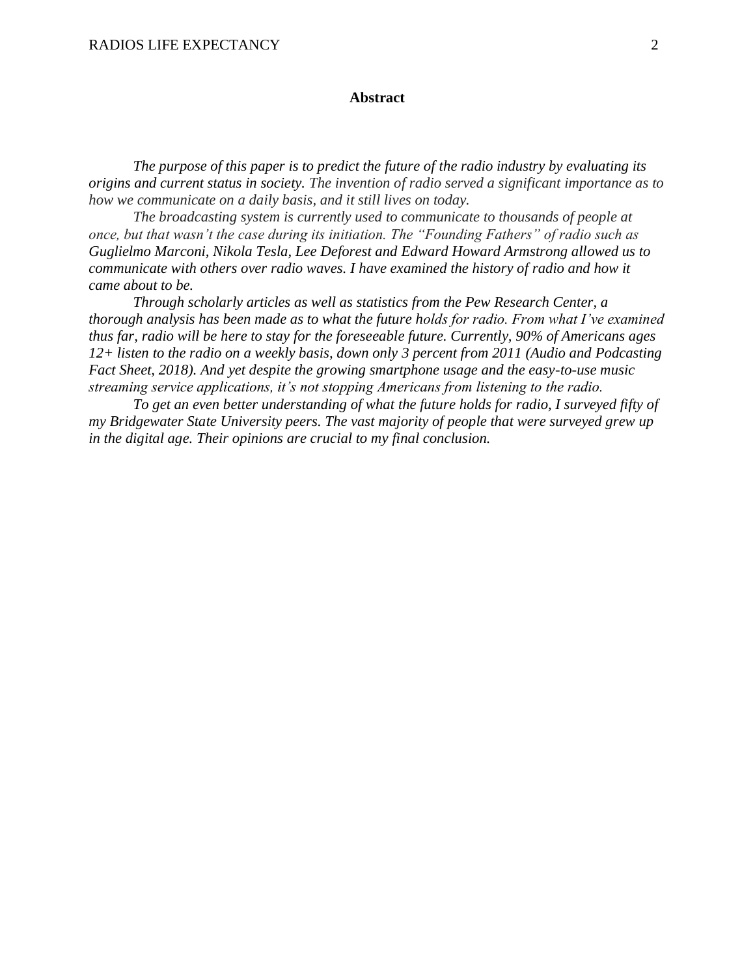#### **Abstract**

*The purpose of this paper is to predict the future of the radio industry by evaluating its origins and current status in society. The invention of radio served a significant importance as to how we communicate on a daily basis, and it still lives on today.*

*The broadcasting system is currently used to communicate to thousands of people at once, but that wasn't the case during its initiation. The "Founding Fathers" of radio such as Guglielmo Marconi, Nikola Tesla, Lee Deforest and Edward Howard Armstrong allowed us to communicate with others over radio waves. I have examined the history of radio and how it came about to be.* 

*Through scholarly articles as well as statistics from the Pew Research Center, a thorough analysis has been made as to what the future holds for radio. From what I've examined thus far, radio will be here to stay for the foreseeable future. Currently, 90% of Americans ages 12+ listen to the radio on a weekly basis, down only 3 percent from 2011 (Audio and Podcasting Fact Sheet, 2018). And yet despite the growing smartphone usage and the easy-to-use music streaming service applications, it's not stopping Americans from listening to the radio.* 

*To get an even better understanding of what the future holds for radio, I surveyed fifty of my Bridgewater State University peers. The vast majority of people that were surveyed grew up in the digital age. Their opinions are crucial to my final conclusion.*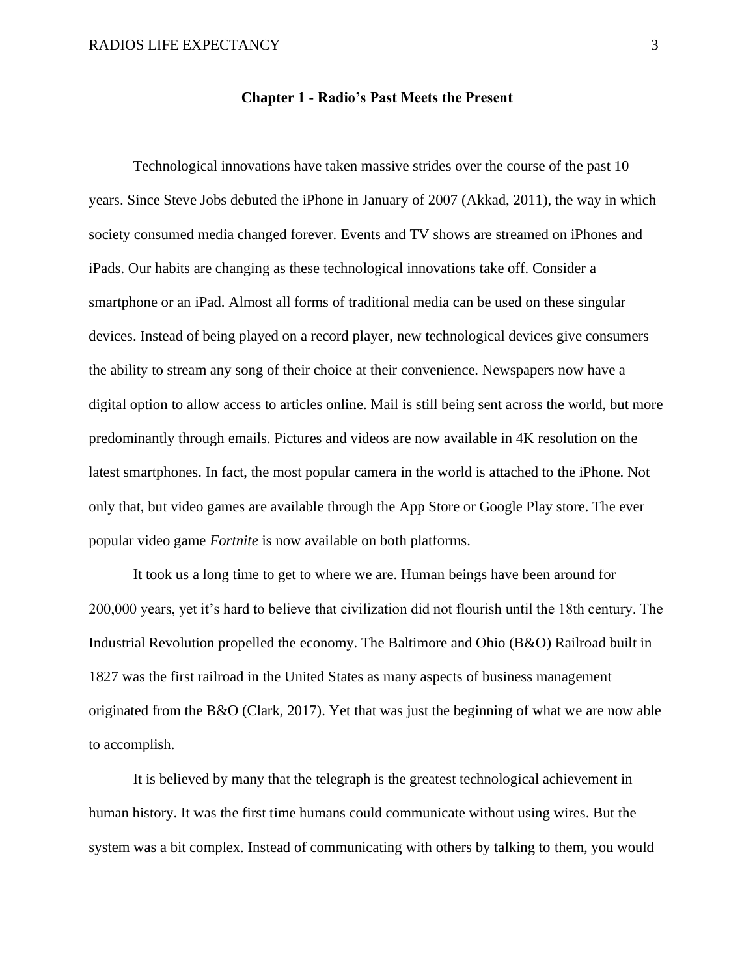#### **Chapter 1 - Radio's Past Meets the Present**

Technological innovations have taken massive strides over the course of the past 10 years. Since Steve Jobs debuted the iPhone in January of 2007 (Akkad, 2011), the way in which society consumed media changed forever. Events and TV shows are streamed on iPhones and iPads. Our habits are changing as these technological innovations take off. Consider a smartphone or an iPad. Almost all forms of traditional media can be used on these singular devices. Instead of being played on a record player, new technological devices give consumers the ability to stream any song of their choice at their convenience. Newspapers now have a digital option to allow access to articles online. Mail is still being sent across the world, but more predominantly through emails. Pictures and videos are now available in 4K resolution on the latest smartphones. In fact, the most popular camera in the world is attached to the iPhone. Not only that, but video games are available through the App Store or Google Play store. The ever popular video game *Fortnite* is now available on both platforms.

It took us a long time to get to where we are. Human beings have been around for 200,000 years, yet it's hard to believe that civilization did not flourish until the 18th century. The Industrial Revolution propelled the economy. The Baltimore and Ohio (B&O) Railroad built in 1827 was the first railroad in the United States as many aspects of business management originated from the B&O (Clark, 2017). Yet that was just the beginning of what we are now able to accomplish.

It is believed by many that the telegraph is the greatest technological achievement in human history. It was the first time humans could communicate without using wires. But the system was a bit complex. Instead of communicating with others by talking to them, you would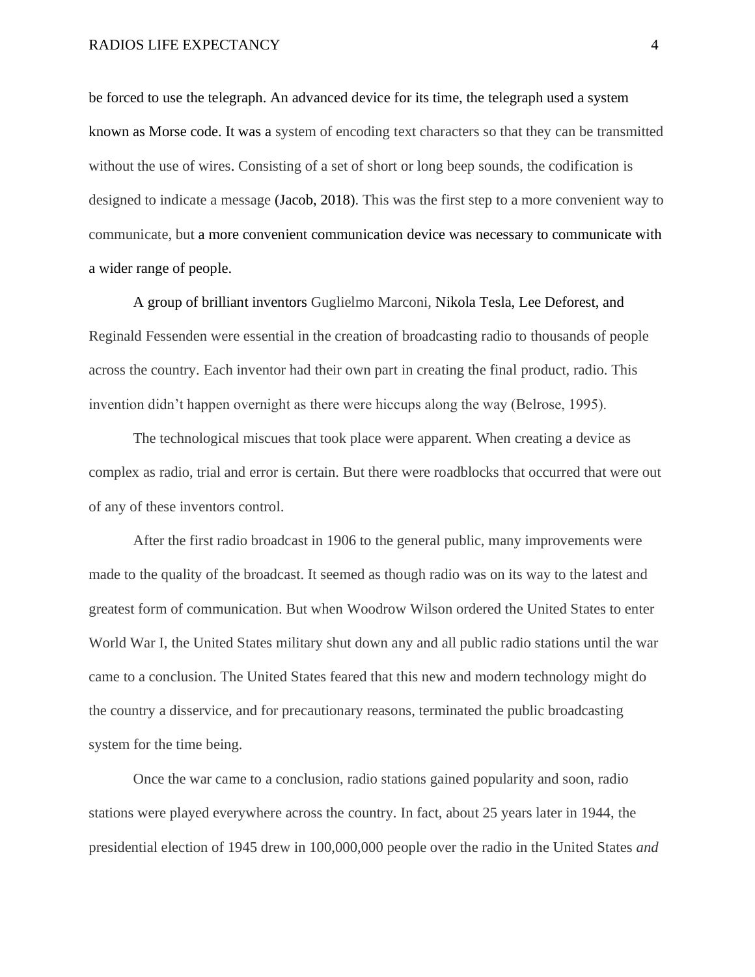#### RADIOS LIFE EXPECTANCY 4

be forced to use the telegraph. An advanced device for its time, the telegraph used a system known as Morse code. It was a system of encoding text characters so that they can be transmitted without the use of wires. Consisting of a set of short or long beep sounds, the codification is designed to indicate a message (Jacob, 2018). This was the first step to a more convenient way to communicate, but a more convenient communication device was necessary to communicate with a wider range of people.

A group of brilliant inventors Guglielmo Marconi, Nikola Tesla, Lee Deforest, and Reginald Fessenden were essential in the creation of broadcasting radio to thousands of people across the country. Each inventor had their own part in creating the final product, radio. This invention didn't happen overnight as there were hiccups along the way (Belrose, 1995).

The technological miscues that took place were apparent. When creating a device as complex as radio, trial and error is certain. But there were roadblocks that occurred that were out of any of these inventors control.

After the first radio broadcast in 1906 to the general public, many improvements were made to the quality of the broadcast. It seemed as though radio was on its way to the latest and greatest form of communication. But when Woodrow Wilson ordered the United States to enter World War I, the United States military shut down any and all public radio stations until the war came to a conclusion. The United States feared that this new and modern technology might do the country a disservice, and for precautionary reasons, terminated the public broadcasting system for the time being.

Once the war came to a conclusion, radio stations gained popularity and soon, radio stations were played everywhere across the country. In fact, about 25 years later in 1944, the presidential election of 1945 drew in 100,000,000 people over the radio in the United States *and*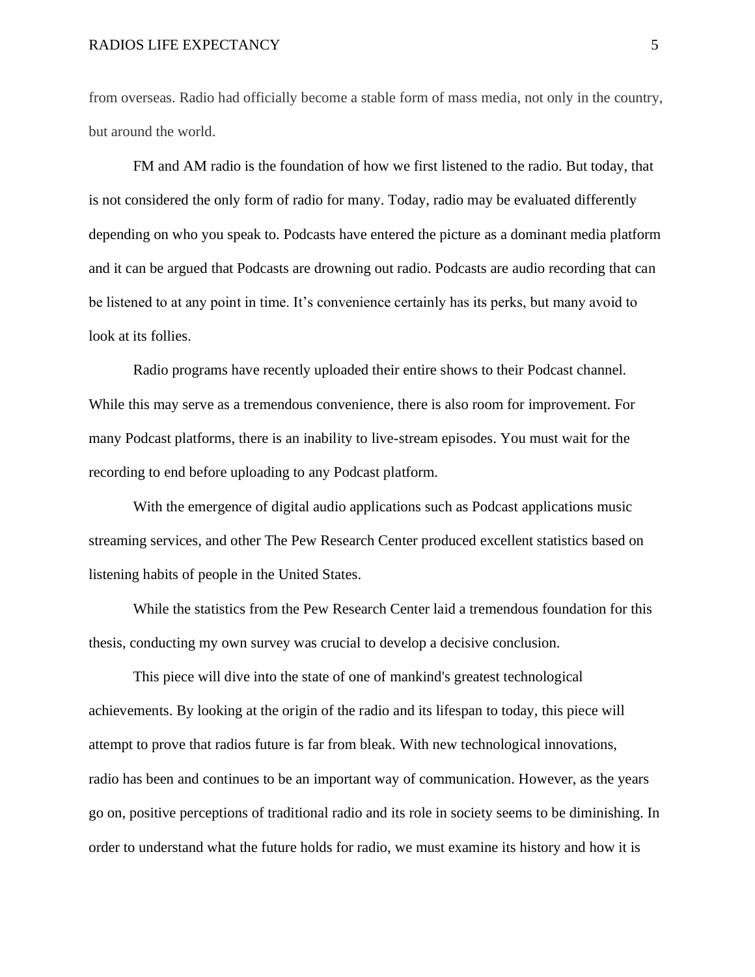#### RADIOS LIFE EXPECTANCY 5

from overseas. Radio had officially become a stable form of mass media, not only in the country, but around the world.

FM and AM radio is the foundation of how we first listened to the radio. But today, that is not considered the only form of radio for many. Today, radio may be evaluated differently depending on who you speak to. Podcasts have entered the picture as a dominant media platform and it can be argued that Podcasts are drowning out radio. Podcasts are audio recording that can be listened to at any point in time. It's convenience certainly has its perks, but many avoid to look at its follies.

Radio programs have recently uploaded their entire shows to their Podcast channel. While this may serve as a tremendous convenience, there is also room for improvement. For many Podcast platforms, there is an inability to live-stream episodes. You must wait for the recording to end before uploading to any Podcast platform.

With the emergence of digital audio applications such as Podcast applications music streaming services, and other The Pew Research Center produced excellent statistics based on listening habits of people in the United States.

While the statistics from the Pew Research Center laid a tremendous foundation for this thesis, conducting my own survey was crucial to develop a decisive conclusion.

This piece will dive into the state of one of mankind's greatest technological achievements. By looking at the origin of the radio and its lifespan to today, this piece will attempt to prove that radios future is far from bleak. With new technological innovations, radio has been and continues to be an important way of communication. However, as the years go on, positive perceptions of traditional radio and its role in society seems to be diminishing. In order to understand what the future holds for radio, we must examine its history and how it is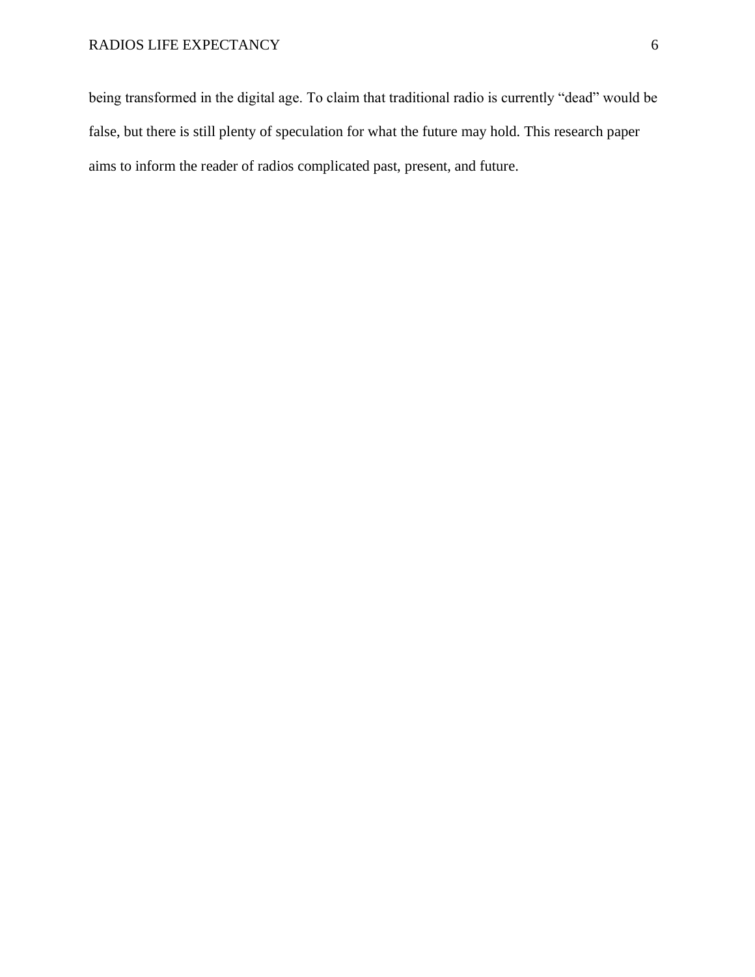being transformed in the digital age. To claim that traditional radio is currently "dead" would be false, but there is still plenty of speculation for what the future may hold. This research paper aims to inform the reader of radios complicated past, present, and future.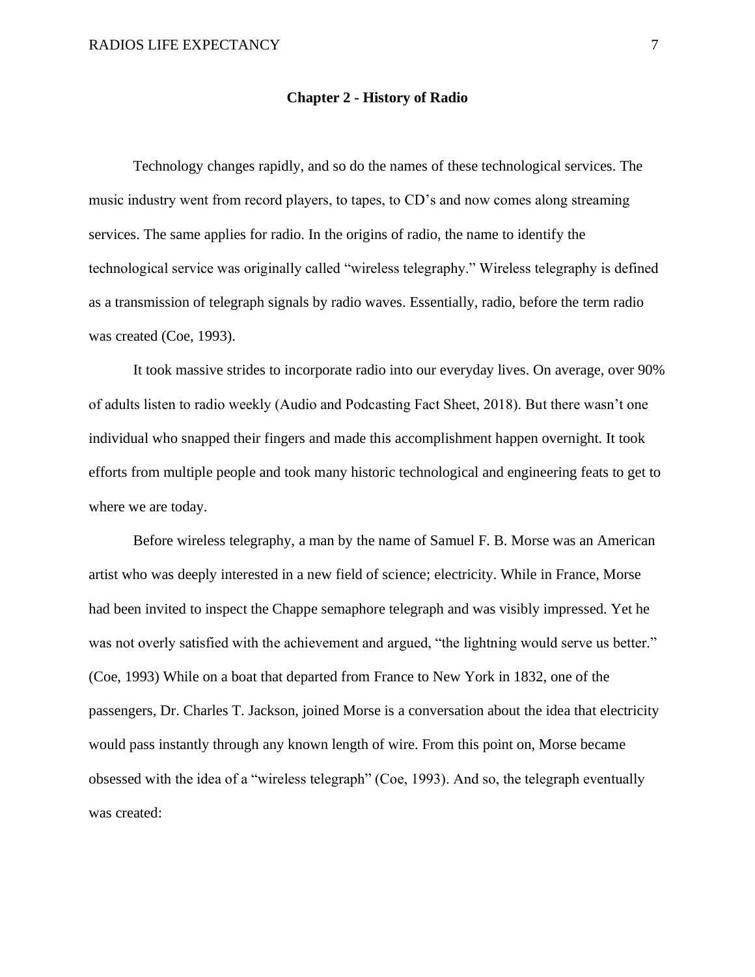#### **Chapter 2 - History of Radio**

Technology changes rapidly, and so do the names of these technological services. The music industry went from record players, to tapes, to CD's and now comes along streaming services. The same applies for radio. In the origins of radio, the name to identify the technological service was originally called "wireless telegraphy." Wireless telegraphy is defined as a transmission of telegraph signals by radio waves. Essentially, radio, before the term radio was created (Coe, 1993).

It took massive strides to incorporate radio into our everyday lives. On average, over 90% of adults listen to radio weekly (Audio and Podcasting Fact Sheet, 2018). But there wasn't one individual who snapped their fingers and made this accomplishment happen overnight. It took efforts from multiple people and took many historic technological and engineering feats to get to where we are today.

Before wireless telegraphy, a man by the name of Samuel F. B. Morse was an American artist who was deeply interested in a new field of science; electricity. While in France, Morse had been invited to inspect the Chappe semaphore telegraph and was visibly impressed. Yet he was not overly satisfied with the achievement and argued, "the lightning would serve us better." (Coe, 1993) While on a boat that departed from France to New York in 1832, one of the passengers, Dr. Charles T. Jackson, joined Morse is a conversation about the idea that electricity would pass instantly through any known length of wire. From this point on, Morse became obsessed with the idea of a "wireless telegraph" (Coe, 1993). And so, the telegraph eventually was created: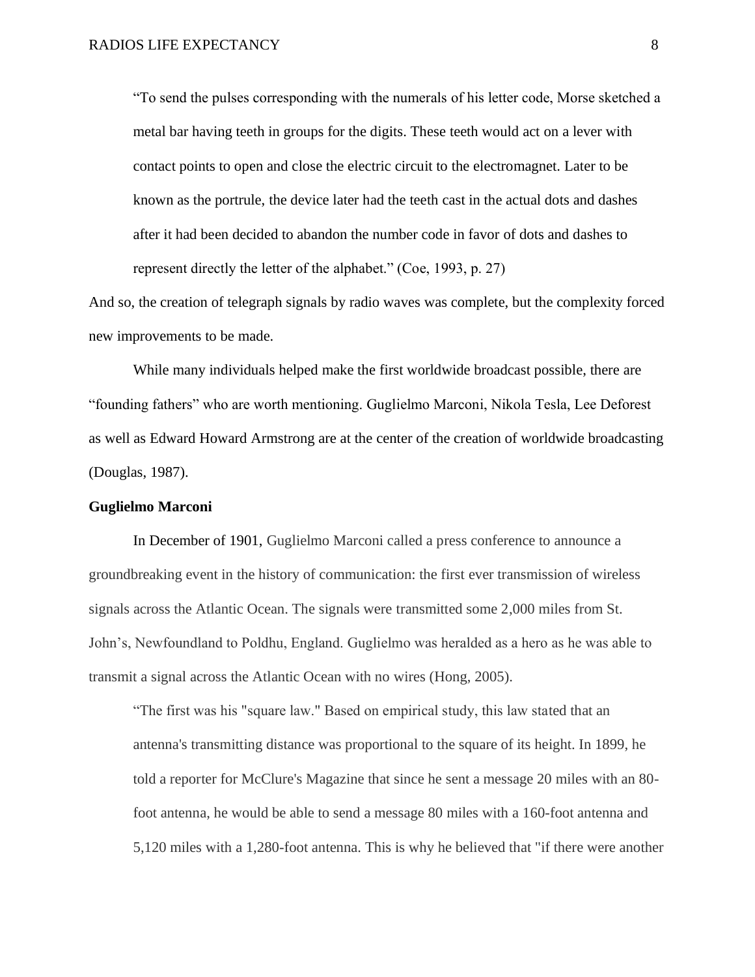"To send the pulses corresponding with the numerals of his letter code, Morse sketched a metal bar having teeth in groups for the digits. These teeth would act on a lever with contact points to open and close the electric circuit to the electromagnet. Later to be known as the portrule, the device later had the teeth cast in the actual dots and dashes after it had been decided to abandon the number code in favor of dots and dashes to represent directly the letter of the alphabet." (Coe, 1993, p. 27)

And so, the creation of telegraph signals by radio waves was complete, but the complexity forced new improvements to be made.

While many individuals helped make the first worldwide broadcast possible, there are "founding fathers" who are worth mentioning. Guglielmo Marconi, Nikola Tesla, Lee Deforest as well as Edward Howard Armstrong are at the center of the creation of worldwide broadcasting (Douglas, 1987).

#### **Guglielmo Marconi**

In December of 1901, Guglielmo Marconi called a press conference to announce a groundbreaking event in the history of communication: the first ever transmission of wireless signals across the Atlantic Ocean. The signals were transmitted some 2,000 miles from St. John's, Newfoundland to Poldhu, England. Guglielmo was heralded as a hero as he was able to transmit a signal across the Atlantic Ocean with no wires (Hong, 2005).

"The first was his "square law." Based on empirical study, this law stated that an antenna's transmitting distance was proportional to the square of its height. In 1899, he told a reporter for McClure's Magazine that since he sent a message 20 miles with an 80 foot antenna, he would be able to send a message 80 miles with a 160-foot antenna and 5,120 miles with a 1,280-foot antenna. This is why he believed that "if there were another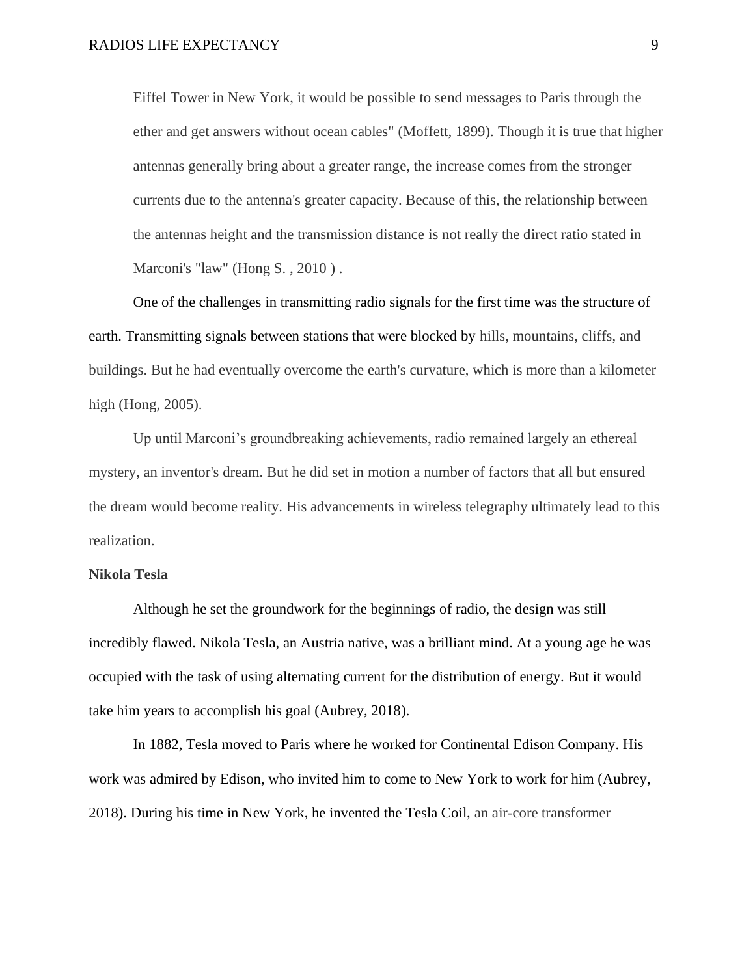Eiffel Tower in New York, it would be possible to send messages to Paris through the ether and get answers without ocean cables" (Moffett, 1899). Though it is true that higher antennas generally bring about a greater range, the increase comes from the stronger currents due to the antenna's greater capacity. Because of this, the relationship between the antennas height and the transmission distance is not really the direct ratio stated in Marconi's "law" (Hong S., 2010).

One of the challenges in transmitting radio signals for the first time was the structure of earth. Transmitting signals between stations that were blocked by hills, mountains, cliffs, and buildings. But he had eventually overcome the earth's curvature, which is more than a kilometer high (Hong, 2005).

Up until Marconi's groundbreaking achievements, radio remained largely an ethereal mystery, an inventor's dream. But he did set in motion a number of factors that all but ensured the dream would become reality. His advancements in wireless telegraphy ultimately lead to this realization.

#### **Nikola Tesla**

Although he set the groundwork for the beginnings of radio, the design was still incredibly flawed. Nikola Tesla, an Austria native, was a brilliant mind. At a young age he was occupied with the task of using alternating current for the distribution of energy. But it would take him years to accomplish his goal (Aubrey, 2018).

In 1882, Tesla moved to Paris where he worked for Continental Edison Company. His work was admired by Edison, who invited him to come to New York to work for him (Aubrey, 2018). During his time in New York, he invented the Tesla Coil, an air-core transformer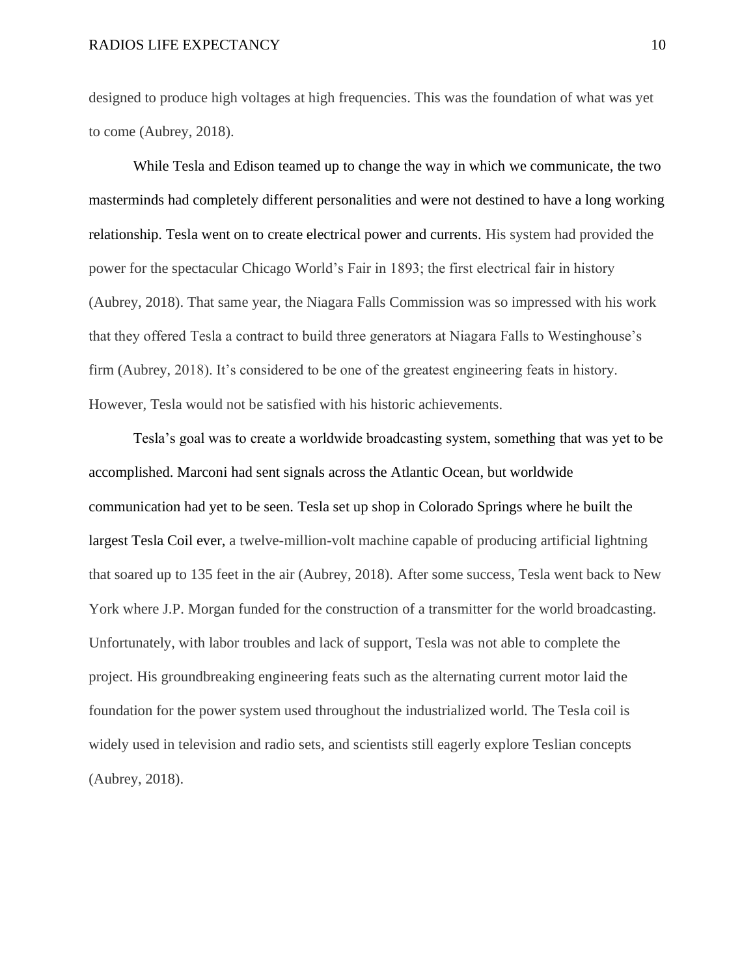#### RADIOS LIFE EXPECTANCY 10

designed to produce high voltages at high frequencies. This was the foundation of what was yet to come (Aubrey, 2018).

While Tesla and Edison teamed up to change the way in which we communicate, the two masterminds had completely different personalities and were not destined to have a long working relationship. Tesla went on to create electrical power and currents. His system had provided the power for the spectacular Chicago World's Fair in 1893; the first electrical fair in history (Aubrey, 2018). That same year, the Niagara Falls Commission was so impressed with his work that they offered Tesla a contract to build three generators at Niagara Falls to Westinghouse's firm (Aubrey, 2018). It's considered to be one of the greatest engineering feats in history. However, Tesla would not be satisfied with his historic achievements.

Tesla's goal was to create a worldwide broadcasting system, something that was yet to be accomplished. Marconi had sent signals across the Atlantic Ocean, but worldwide communication had yet to be seen. Tesla set up shop in Colorado Springs where he built the largest Tesla Coil ever, a twelve-million-volt machine capable of producing artificial lightning that soared up to 135 feet in the air (Aubrey, 2018). After some success, Tesla went back to New York where J.P. Morgan funded for the construction of a transmitter for the world broadcasting. Unfortunately, with labor troubles and lack of support, Tesla was not able to complete the project. His groundbreaking engineering feats such as the alternating current motor laid the foundation for the power system used throughout the industrialized world. The Tesla coil is widely used in television and radio sets, and scientists still eagerly explore Teslian concepts (Aubrey, 2018).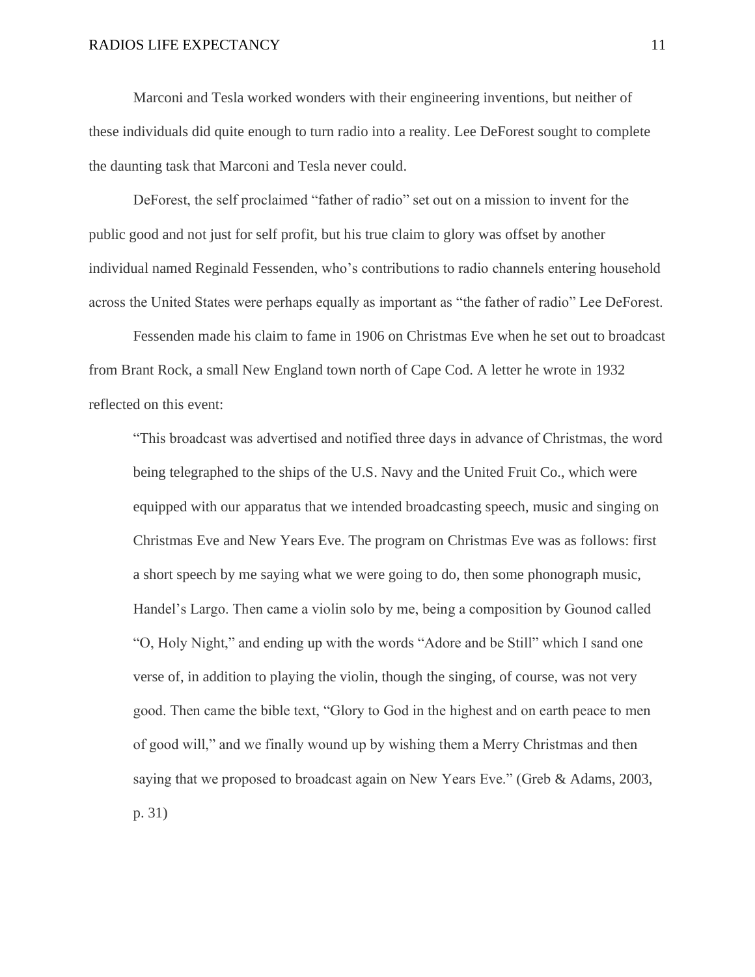Marconi and Tesla worked wonders with their engineering inventions, but neither of these individuals did quite enough to turn radio into a reality. Lee DeForest sought to complete the daunting task that Marconi and Tesla never could.

DeForest, the self proclaimed "father of radio" set out on a mission to invent for the public good and not just for self profit, but his true claim to glory was offset by another individual named Reginald Fessenden, who's contributions to radio channels entering household across the United States were perhaps equally as important as "the father of radio" Lee DeForest.

Fessenden made his claim to fame in 1906 on Christmas Eve when he set out to broadcast from Brant Rock, a small New England town north of Cape Cod. A letter he wrote in 1932 reflected on this event:

"This broadcast was advertised and notified three days in advance of Christmas, the word being telegraphed to the ships of the U.S. Navy and the United Fruit Co., which were equipped with our apparatus that we intended broadcasting speech, music and singing on Christmas Eve and New Years Eve. The program on Christmas Eve was as follows: first a short speech by me saying what we were going to do, then some phonograph music, Handel's Largo. Then came a violin solo by me, being a composition by Gounod called "O, Holy Night," and ending up with the words "Adore and be Still" which I sand one verse of, in addition to playing the violin, though the singing, of course, was not very good. Then came the bible text, "Glory to God in the highest and on earth peace to men of good will," and we finally wound up by wishing them a Merry Christmas and then saying that we proposed to broadcast again on New Years Eve." (Greb & Adams, 2003, p. 31)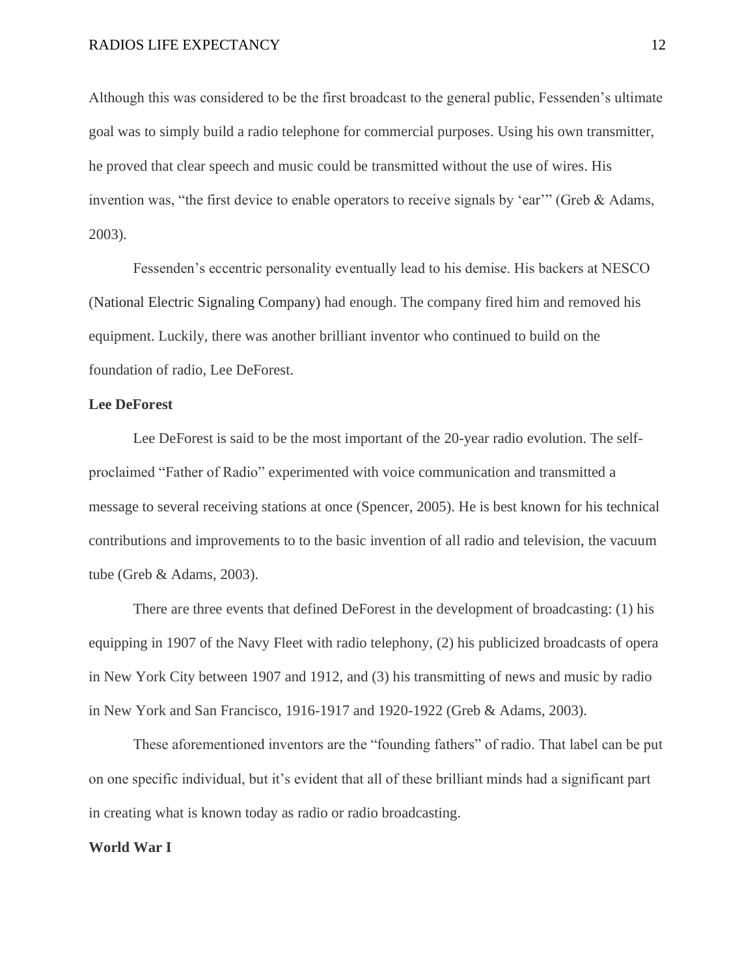Although this was considered to be the first broadcast to the general public, Fessenden's ultimate goal was to simply build a radio telephone for commercial purposes. Using his own transmitter, he proved that clear speech and music could be transmitted without the use of wires. His invention was, "the first device to enable operators to receive signals by 'ear'" (Greb & Adams, 2003).

Fessenden's eccentric personality eventually lead to his demise. His backers at NESCO (National Electric Signaling Company) had enough. The company fired him and removed his equipment. Luckily, there was another brilliant inventor who continued to build on the foundation of radio, Lee DeForest.

#### **Lee DeForest**

Lee DeForest is said to be the most important of the 20-year radio evolution. The selfproclaimed "Father of Radio" experimented with voice communication and transmitted a message to several receiving stations at once (Spencer, 2005). He is best known for his technical contributions and improvements to to the basic invention of all radio and television, the vacuum tube (Greb & Adams, 2003).

There are three events that defined DeForest in the development of broadcasting: (1) his equipping in 1907 of the Navy Fleet with radio telephony, (2) his publicized broadcasts of opera in New York City between 1907 and 1912, and (3) his transmitting of news and music by radio in New York and San Francisco, 1916-1917 and 1920-1922 (Greb & Adams, 2003).

These aforementioned inventors are the "founding fathers" of radio. That label can be put on one specific individual, but it's evident that all of these brilliant minds had a significant part in creating what is known today as radio or radio broadcasting.

#### **World War I**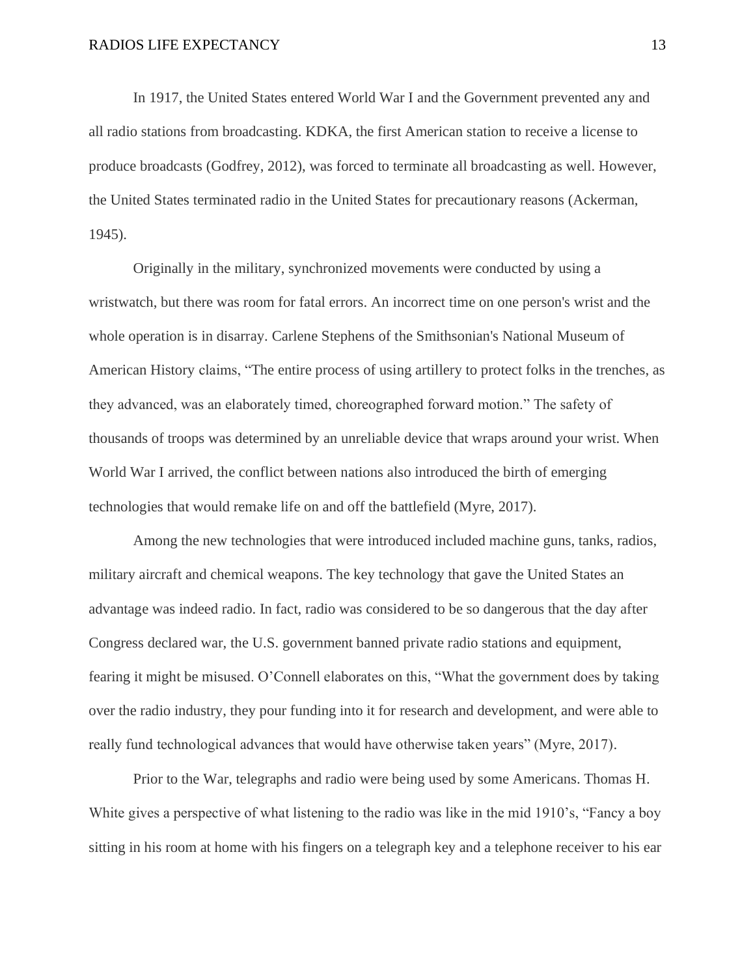In 1917, the United States entered World War I and the Government prevented any and all radio stations from broadcasting. KDKA, the first American station to receive a license to produce broadcasts (Godfrey, 2012), was forced to terminate all broadcasting as well. However, the United States terminated radio in the United States for precautionary reasons (Ackerman, 1945).

Originally in the military, synchronized movements were conducted by using a wristwatch, but there was room for fatal errors. An incorrect time on one person's wrist and the whole operation is in disarray. Carlene Stephens of the Smithsonian's National Museum of American History claims, "The entire process of using artillery to protect folks in the trenches, as they advanced, was an elaborately timed, choreographed forward motion." The safety of thousands of troops was determined by an unreliable device that wraps around your wrist. When World War I arrived, the conflict between nations also introduced the birth of emerging technologies that would remake life on and off the battlefield (Myre, 2017).

Among the new technologies that were introduced included machine guns, tanks, radios, military aircraft and chemical weapons. The key technology that gave the United States an advantage was indeed radio. In fact, radio was considered to be so dangerous that the day after Congress declared war, the U.S. government banned private radio stations and equipment, fearing it might be misused. O'Connell elaborates on this, "What the government does by taking over the radio industry, they pour funding into it for research and development, and were able to really fund technological advances that would have otherwise taken years" (Myre, 2017).

Prior to the War, telegraphs and radio were being used by some Americans. Thomas H. White gives a perspective of what listening to the radio was like in the mid 1910's, "Fancy a boy sitting in his room at home with his fingers on a telegraph key and a telephone receiver to his ear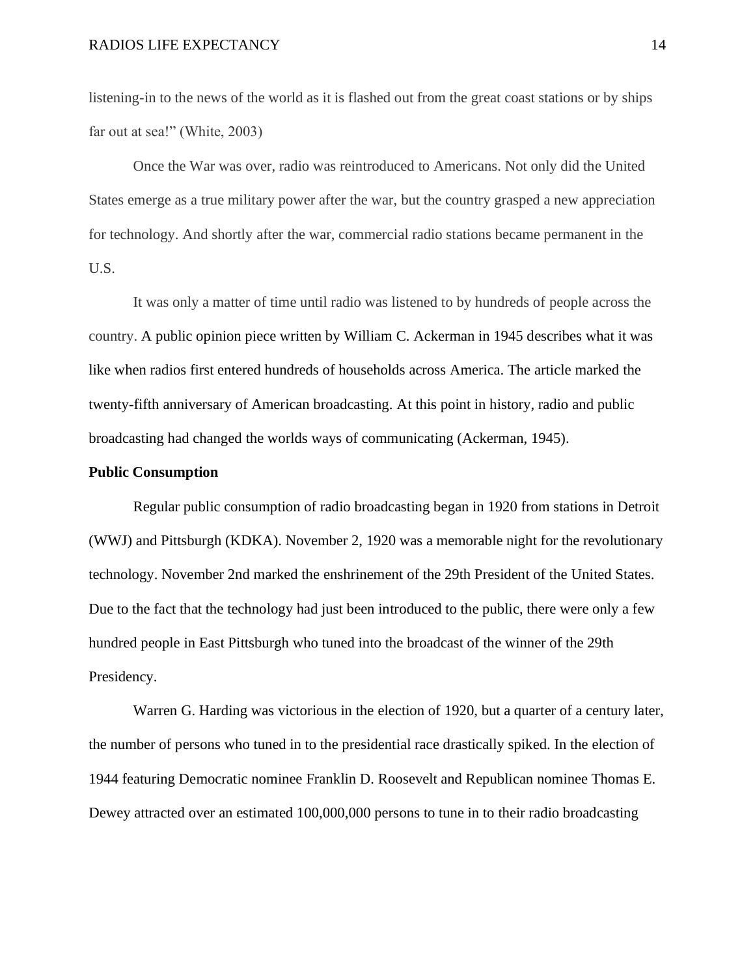listening-in to the news of the world as it is flashed out from the great coast stations or by ships far out at sea!" (White, 2003)

Once the War was over, radio was reintroduced to Americans. Not only did the United States emerge as a true military power after the war, but the country grasped a new appreciation for technology. And shortly after the war, commercial radio stations became permanent in the U.S.

It was only a matter of time until radio was listened to by hundreds of people across the country. A public opinion piece written by William C. Ackerman in 1945 describes what it was like when radios first entered hundreds of households across America. The article marked the twenty-fifth anniversary of American broadcasting. At this point in history, radio and public broadcasting had changed the worlds ways of communicating (Ackerman, 1945).

#### **Public Consumption**

Regular public consumption of radio broadcasting began in 1920 from stations in Detroit (WWJ) and Pittsburgh (KDKA). November 2, 1920 was a memorable night for the revolutionary technology. November 2nd marked the enshrinement of the 29th President of the United States. Due to the fact that the technology had just been introduced to the public, there were only a few hundred people in East Pittsburgh who tuned into the broadcast of the winner of the 29th Presidency.

Warren G. Harding was victorious in the election of 1920, but a quarter of a century later, the number of persons who tuned in to the presidential race drastically spiked. In the election of 1944 featuring Democratic nominee Franklin D. Roosevelt and Republican nominee Thomas E. Dewey attracted over an estimated 100,000,000 persons to tune in to their radio broadcasting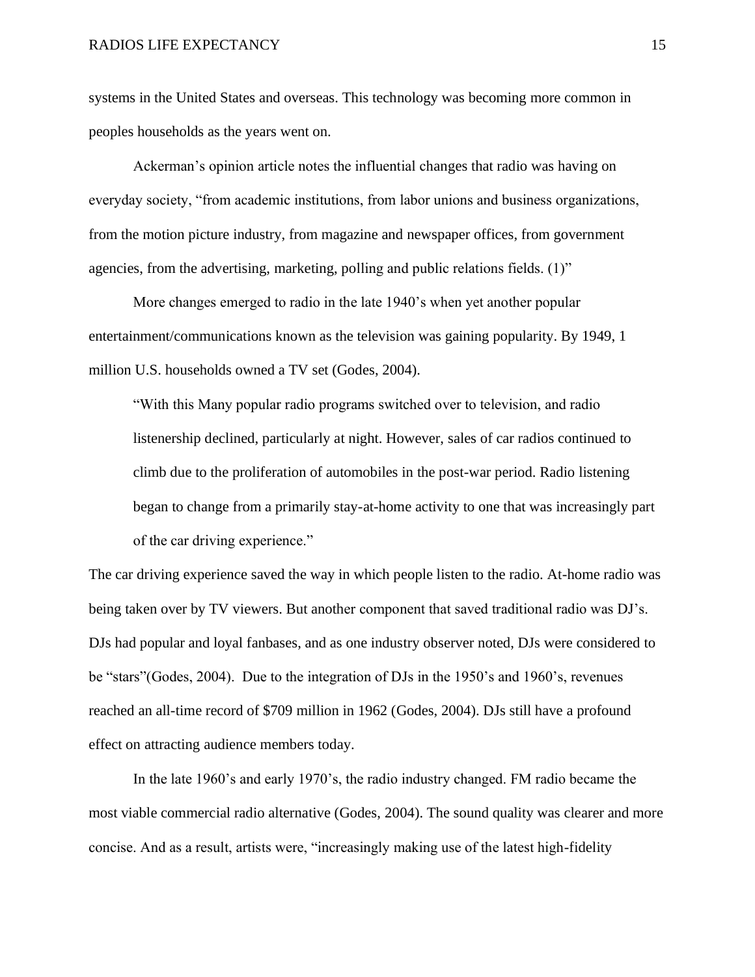systems in the United States and overseas. This technology was becoming more common in peoples households as the years went on.

Ackerman's opinion article notes the influential changes that radio was having on everyday society, "from academic institutions, from labor unions and business organizations, from the motion picture industry, from magazine and newspaper offices, from government agencies, from the advertising, marketing, polling and public relations fields. (1)"

More changes emerged to radio in the late 1940's when yet another popular entertainment/communications known as the television was gaining popularity. By 1949, 1 million U.S. households owned a TV set (Godes, 2004).

"With this Many popular radio programs switched over to television, and radio listenership declined, particularly at night. However, sales of car radios continued to climb due to the proliferation of automobiles in the post-war period. Radio listening began to change from a primarily stay-at-home activity to one that was increasingly part of the car driving experience."

The car driving experience saved the way in which people listen to the radio. At-home radio was being taken over by TV viewers. But another component that saved traditional radio was DJ's. DJs had popular and loyal fanbases, and as one industry observer noted, DJs were considered to be "stars"(Godes, 2004). Due to the integration of DJs in the 1950's and 1960's, revenues reached an all-time record of \$709 million in 1962 (Godes, 2004). DJs still have a profound effect on attracting audience members today.

In the late 1960's and early 1970's, the radio industry changed. FM radio became the most viable commercial radio alternative (Godes, 2004). The sound quality was clearer and more concise. And as a result, artists were, "increasingly making use of the latest high-fidelity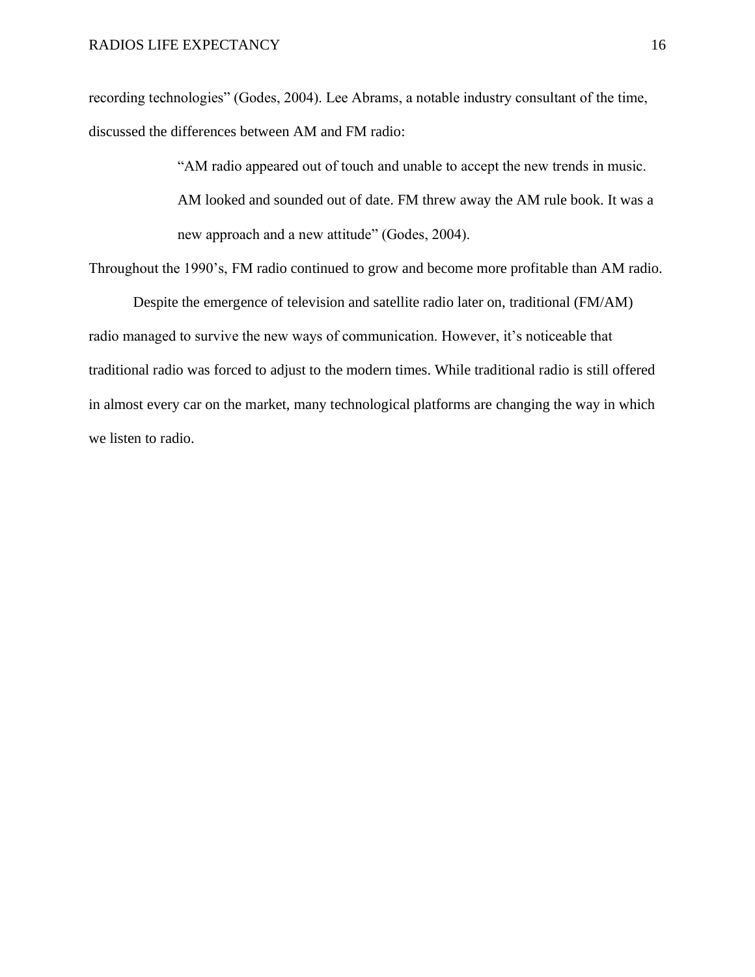recording technologies" (Godes, 2004). Lee Abrams, a notable industry consultant of the time, discussed the differences between AM and FM radio:

> "AM radio appeared out of touch and unable to accept the new trends in music. AM looked and sounded out of date. FM threw away the AM rule book. It was a new approach and a new attitude" (Godes, 2004).

Throughout the 1990's, FM radio continued to grow and become more profitable than AM radio.

Despite the emergence of television and satellite radio later on, traditional (FM/AM) radio managed to survive the new ways of communication. However, it's noticeable that traditional radio was forced to adjust to the modern times. While traditional radio is still offered in almost every car on the market, many technological platforms are changing the way in which we listen to radio.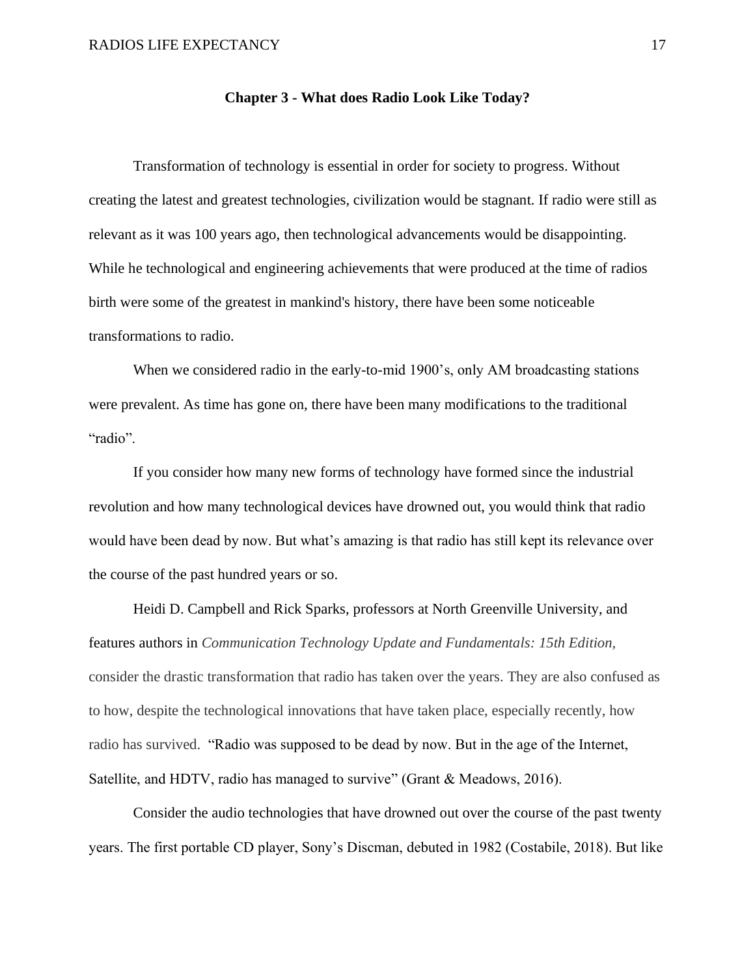#### **Chapter 3 - What does Radio Look Like Today?**

Transformation of technology is essential in order for society to progress. Without creating the latest and greatest technologies, civilization would be stagnant. If radio were still as relevant as it was 100 years ago, then technological advancements would be disappointing. While he technological and engineering achievements that were produced at the time of radios birth were some of the greatest in mankind's history, there have been some noticeable transformations to radio.

When we considered radio in the early-to-mid 1900's, only AM broadcasting stations were prevalent. As time has gone on, there have been many modifications to the traditional "radio".

If you consider how many new forms of technology have formed since the industrial revolution and how many technological devices have drowned out, you would think that radio would have been dead by now. But what's amazing is that radio has still kept its relevance over the course of the past hundred years or so.

Heidi D. Campbell and Rick Sparks, professors at North Greenville University, and features authors in *Communication Technology Update and Fundamentals: 15th Edition,* consider the drastic transformation that radio has taken over the years. They are also confused as to how, despite the technological innovations that have taken place, especially recently, how radio has survived. "Radio was supposed to be dead by now. But in the age of the Internet, Satellite, and HDTV, radio has managed to survive" (Grant & Meadows, 2016).

Consider the audio technologies that have drowned out over the course of the past twenty years. The first portable CD player, Sony's Discman, debuted in 1982 (Costabile, 2018). But like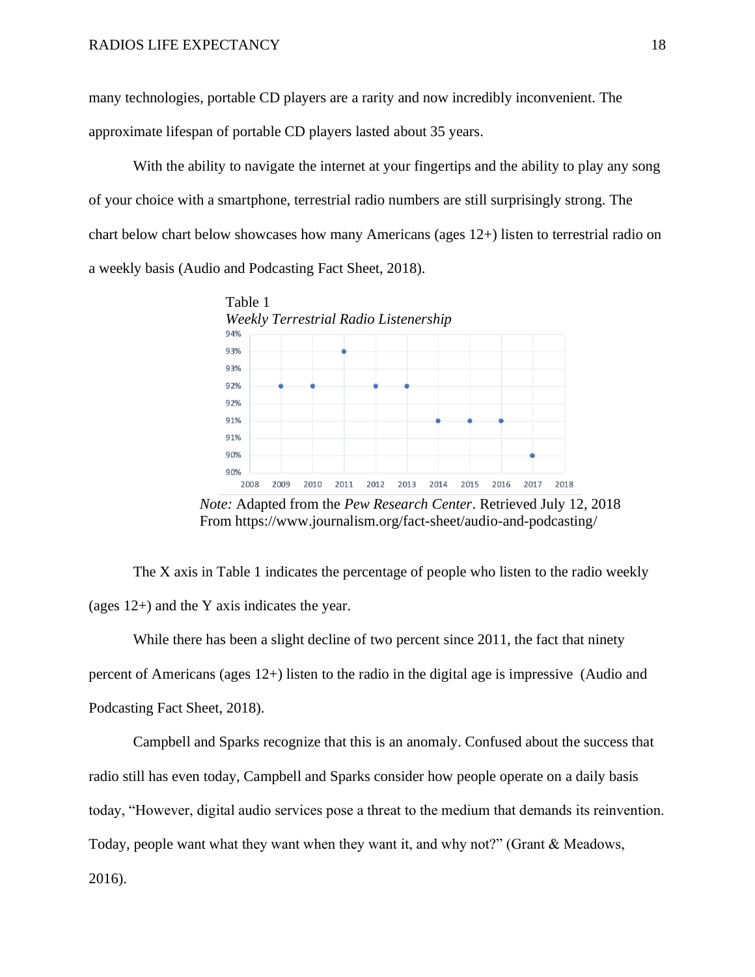many technologies, portable CD players are a rarity and now incredibly inconvenient. The approximate lifespan of portable CD players lasted about 35 years.

With the ability to navigate the internet at your fingertips and the ability to play any song of your choice with a smartphone, terrestrial radio numbers are still surprisingly strong. The chart below chart below showcases how many Americans (ages 12+) listen to terrestrial radio on a weekly basis (Audio and Podcasting Fact Sheet, 2018).



 *Note:* Adapted from the *Pew Research Center*. Retrieved July 12, 2018 From https://www.journalism.org/fact-sheet/audio-and-podcasting/

The X axis in Table 1 indicates the percentage of people who listen to the radio weekly (ages 12+) and the Y axis indicates the year.

While there has been a slight decline of two percent since 2011, the fact that ninety percent of Americans (ages 12+) listen to the radio in the digital age is impressive (Audio and Podcasting Fact Sheet, 2018).

Campbell and Sparks recognize that this is an anomaly. Confused about the success that radio still has even today, Campbell and Sparks consider how people operate on a daily basis today, "However, digital audio services pose a threat to the medium that demands its reinvention. Today, people want what they want when they want it, and why not?" (Grant & Meadows, 2016).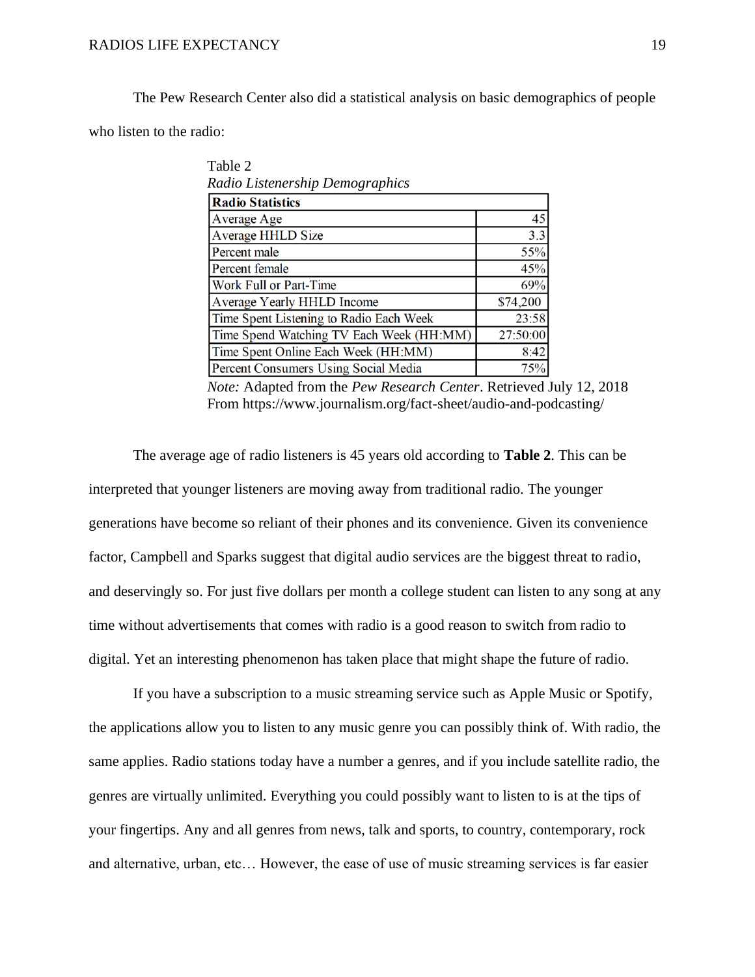#### RADIOS LIFE EXPECTANCY 19

 $T<sub>2</sub>$   $\pm 1<sub>2</sub>$   $\Delta$ 

The Pew Research Center also did a statistical analysis on basic demographics of people who listen to the radio:

| <b>Radio Statistics</b>                  |          |
|------------------------------------------|----------|
| Average Age                              |          |
| Average HHLD Size                        |          |
| Percent male                             |          |
| Percent female                           |          |
| Work Full or Part-Time                   |          |
| Average Yearly HHLD Income               | \$74,200 |
| Time Spent Listening to Radio Each Week  | 23:58    |
| Time Spend Watching TV Each Week (HH:MM) | 27:50:00 |
| Time Spent Online Each Week (HH:MM)      |          |
| Percent Consumers Using Social Media     |          |

 *Note:* Adapted from the *Pew Research Center*. Retrieved July 12, 2018 From https://www.journalism.org/fact-sheet/audio-and-podcasting/

The average age of radio listeners is 45 years old according to **Table 2**. This can be interpreted that younger listeners are moving away from traditional radio. The younger generations have become so reliant of their phones and its convenience. Given its convenience factor, Campbell and Sparks suggest that digital audio services are the biggest threat to radio, and deservingly so. For just five dollars per month a college student can listen to any song at any time without advertisements that comes with radio is a good reason to switch from radio to digital. Yet an interesting phenomenon has taken place that might shape the future of radio.

If you have a subscription to a music streaming service such as Apple Music or Spotify, the applications allow you to listen to any music genre you can possibly think of. With radio, the same applies. Radio stations today have a number a genres, and if you include satellite radio, the genres are virtually unlimited. Everything you could possibly want to listen to is at the tips of your fingertips. Any and all genres from news, talk and sports, to country, contemporary, rock and alternative, urban, etc… However, the ease of use of music streaming services is far easier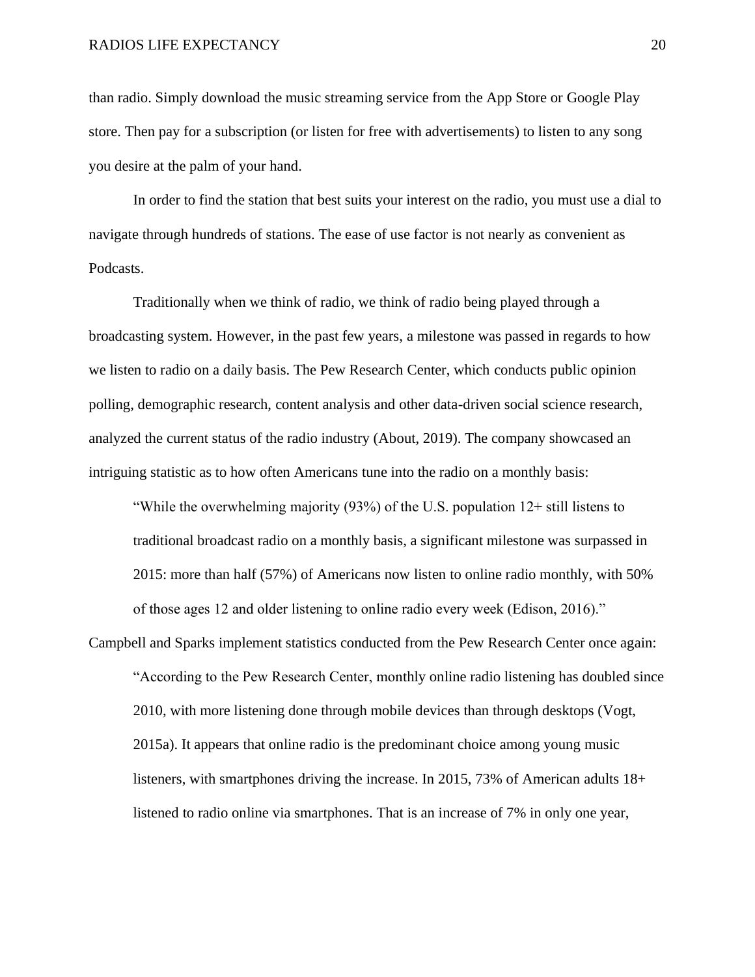than radio. Simply download the music streaming service from the App Store or Google Play store. Then pay for a subscription (or listen for free with advertisements) to listen to any song you desire at the palm of your hand.

In order to find the station that best suits your interest on the radio, you must use a dial to navigate through hundreds of stations. The ease of use factor is not nearly as convenient as Podcasts.

Traditionally when we think of radio, we think of radio being played through a broadcasting system. However, in the past few years, a milestone was passed in regards to how we listen to radio on a daily basis. The Pew Research Center, which conducts public opinion polling, demographic research, content analysis and other data-driven social science research, analyzed the current status of the radio industry (About, 2019). The company showcased an intriguing statistic as to how often Americans tune into the radio on a monthly basis:

"While the overwhelming majority  $(93%)$  of the U.S. population  $12+$  still listens to traditional broadcast radio on a monthly basis, a significant milestone was surpassed in 2015: more than half (57%) of Americans now listen to online radio monthly, with 50% of those ages 12 and older listening to online radio every week (Edison, 2016)."

Campbell and Sparks implement statistics conducted from the Pew Research Center once again: "According to the Pew Research Center, monthly online radio listening has doubled since 2010, with more listening done through mobile devices than through desktops (Vogt, 2015a). It appears that online radio is the predominant choice among young music listeners, with smartphones driving the increase. In 2015, 73% of American adults 18+ listened to radio online via smartphones. That is an increase of 7% in only one year,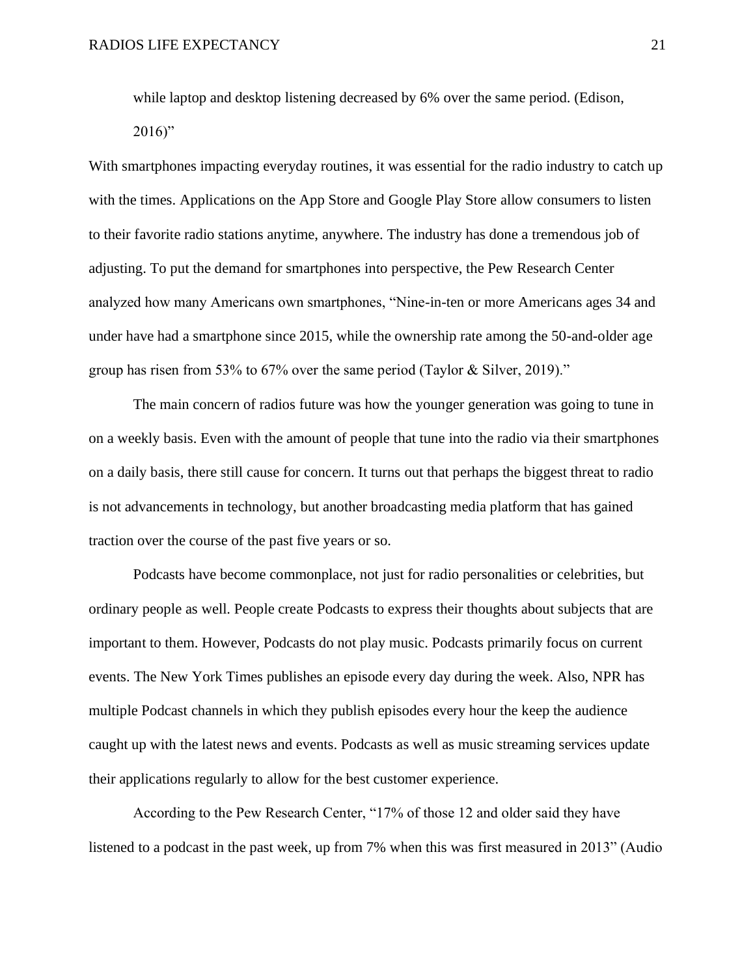while laptop and desktop listening decreased by 6% over the same period. (Edison,

 $2016$ "

With smartphones impacting everyday routines, it was essential for the radio industry to catch up with the times. Applications on the App Store and Google Play Store allow consumers to listen to their favorite radio stations anytime, anywhere. The industry has done a tremendous job of adjusting. To put the demand for smartphones into perspective, the Pew Research Center analyzed how many Americans own smartphones, "Nine-in-ten or more Americans ages 34 and under have had a smartphone since 2015, while the ownership rate among the 50-and-older age group has risen from 53% to 67% over the same period (Taylor & Silver, 2019)."

The main concern of radios future was how the younger generation was going to tune in on a weekly basis. Even with the amount of people that tune into the radio via their smartphones on a daily basis, there still cause for concern. It turns out that perhaps the biggest threat to radio is not advancements in technology, but another broadcasting media platform that has gained traction over the course of the past five years or so.

Podcasts have become commonplace, not just for radio personalities or celebrities, but ordinary people as well. People create Podcasts to express their thoughts about subjects that are important to them. However, Podcasts do not play music. Podcasts primarily focus on current events. The New York Times publishes an episode every day during the week. Also, NPR has multiple Podcast channels in which they publish episodes every hour the keep the audience caught up with the latest news and events. Podcasts as well as music streaming services update their applications regularly to allow for the best customer experience.

According to the Pew Research Center, "17% of those 12 and older said they have listened to a podcast in the past week, up from 7% when this was first measured in 2013" (Audio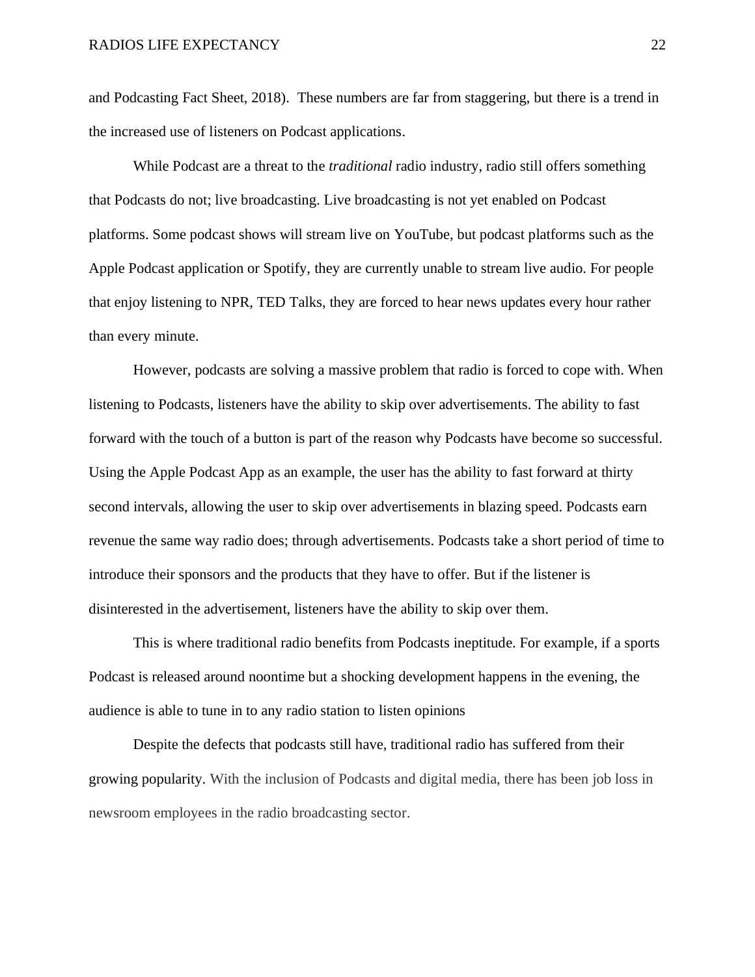and Podcasting Fact Sheet, 2018). These numbers are far from staggering, but there is a trend in the increased use of listeners on Podcast applications.

While Podcast are a threat to the *traditional* radio industry, radio still offers something that Podcasts do not; live broadcasting. Live broadcasting is not yet enabled on Podcast platforms. Some podcast shows will stream live on YouTube, but podcast platforms such as the Apple Podcast application or Spotify, they are currently unable to stream live audio. For people that enjoy listening to NPR, TED Talks, they are forced to hear news updates every hour rather than every minute.

However, podcasts are solving a massive problem that radio is forced to cope with. When listening to Podcasts, listeners have the ability to skip over advertisements. The ability to fast forward with the touch of a button is part of the reason why Podcasts have become so successful. Using the Apple Podcast App as an example, the user has the ability to fast forward at thirty second intervals, allowing the user to skip over advertisements in blazing speed. Podcasts earn revenue the same way radio does; through advertisements. Podcasts take a short period of time to introduce their sponsors and the products that they have to offer. But if the listener is disinterested in the advertisement, listeners have the ability to skip over them.

This is where traditional radio benefits from Podcasts ineptitude. For example, if a sports Podcast is released around noontime but a shocking development happens in the evening, the audience is able to tune in to any radio station to listen opinions

Despite the defects that podcasts still have, traditional radio has suffered from their growing popularity. With the inclusion of Podcasts and digital media, there has been job loss in newsroom employees in the radio broadcasting sector.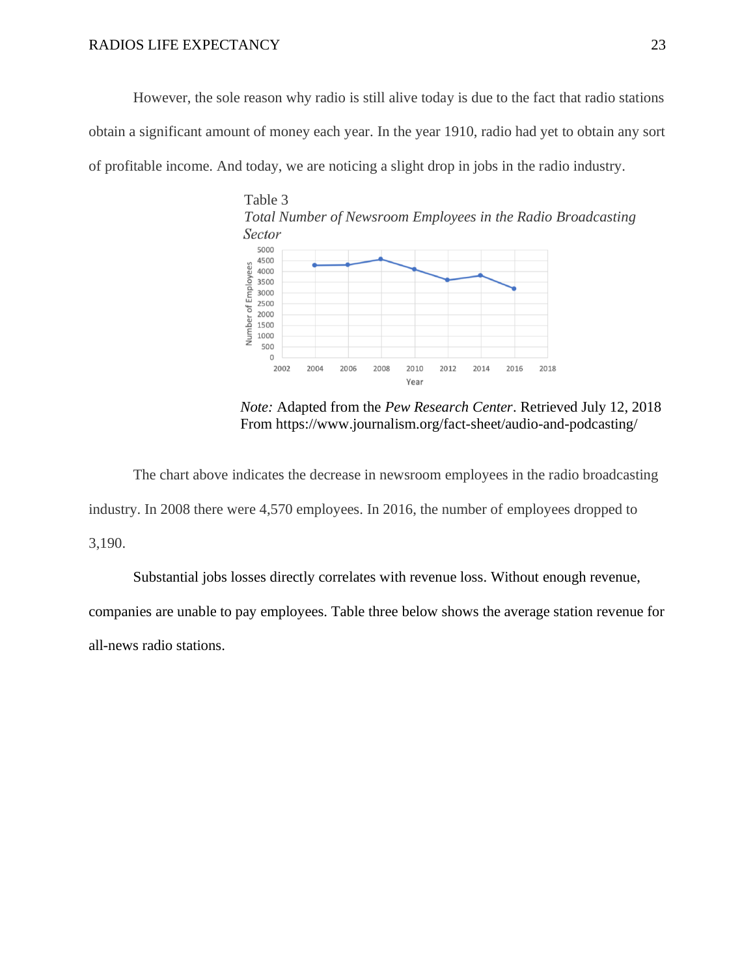#### RADIOS LIFE EXPECTANCY 23

However, the sole reason why radio is still alive today is due to the fact that radio stations obtain a significant amount of money each year. In the year 1910, radio had yet to obtain any sort of profitable income. And today, we are noticing a slight drop in jobs in the radio industry.



 *Note:* Adapted from the *Pew Research Center*. Retrieved July 12, 2018 From https://www.journalism.org/fact-sheet/audio-and-podcasting/

The chart above indicates the decrease in newsroom employees in the radio broadcasting industry. In 2008 there were 4,570 employees. In 2016, the number of employees dropped to 3,190.

Substantial jobs losses directly correlates with revenue loss. Without enough revenue, companies are unable to pay employees. Table three below shows the average station revenue for all-news radio stations.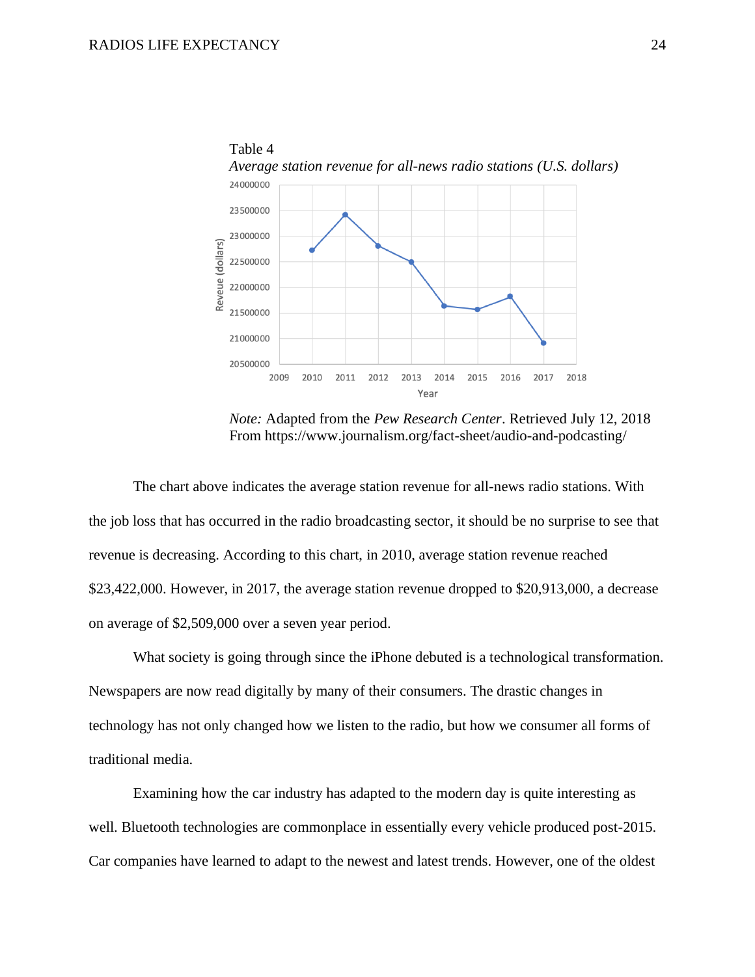

 *Note:* Adapted from the *Pew Research Center*. Retrieved July 12, 2018 From https://www.journalism.org/fact-sheet/audio-and-podcasting/

The chart above indicates the average station revenue for all-news radio stations. With the job loss that has occurred in the radio broadcasting sector, it should be no surprise to see that revenue is decreasing. According to this chart, in 2010, average station revenue reached \$23,422,000. However, in 2017, the average station revenue dropped to \$20,913,000, a decrease on average of \$2,509,000 over a seven year period.

What society is going through since the iPhone debuted is a technological transformation. Newspapers are now read digitally by many of their consumers. The drastic changes in technology has not only changed how we listen to the radio, but how we consumer all forms of traditional media.

Examining how the car industry has adapted to the modern day is quite interesting as well. Bluetooth technologies are commonplace in essentially every vehicle produced post-2015. Car companies have learned to adapt to the newest and latest trends. However, one of the oldest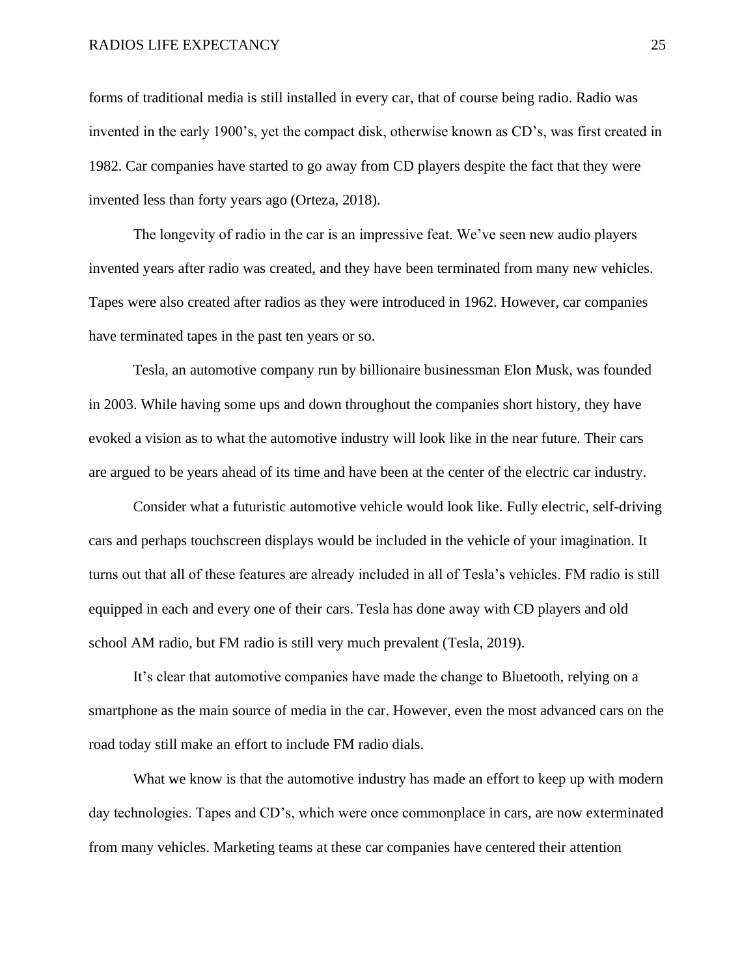#### RADIOS LIFE EXPECTANCY 25

forms of traditional media is still installed in every car, that of course being radio. Radio was invented in the early 1900's, yet the compact disk, otherwise known as CD's, was first created in 1982. Car companies have started to go away from CD players despite the fact that they were invented less than forty years ago (Orteza, 2018).

The longevity of radio in the car is an impressive feat. We've seen new audio players invented years after radio was created, and they have been terminated from many new vehicles. Tapes were also created after radios as they were introduced in 1962. However, car companies have terminated tapes in the past ten years or so.

Tesla, an automotive company run by billionaire businessman Elon Musk, was founded in 2003. While having some ups and down throughout the companies short history, they have evoked a vision as to what the automotive industry will look like in the near future. Their cars are argued to be years ahead of its time and have been at the center of the electric car industry.

Consider what a futuristic automotive vehicle would look like. Fully electric, self-driving cars and perhaps touchscreen displays would be included in the vehicle of your imagination. It turns out that all of these features are already included in all of Tesla's vehicles. FM radio is still equipped in each and every one of their cars. Tesla has done away with CD players and old school AM radio, but FM radio is still very much prevalent (Tesla, 2019).

It's clear that automotive companies have made the change to Bluetooth, relying on a smartphone as the main source of media in the car. However, even the most advanced cars on the road today still make an effort to include FM radio dials.

What we know is that the automotive industry has made an effort to keep up with modern day technologies. Tapes and CD's, which were once commonplace in cars, are now exterminated from many vehicles. Marketing teams at these car companies have centered their attention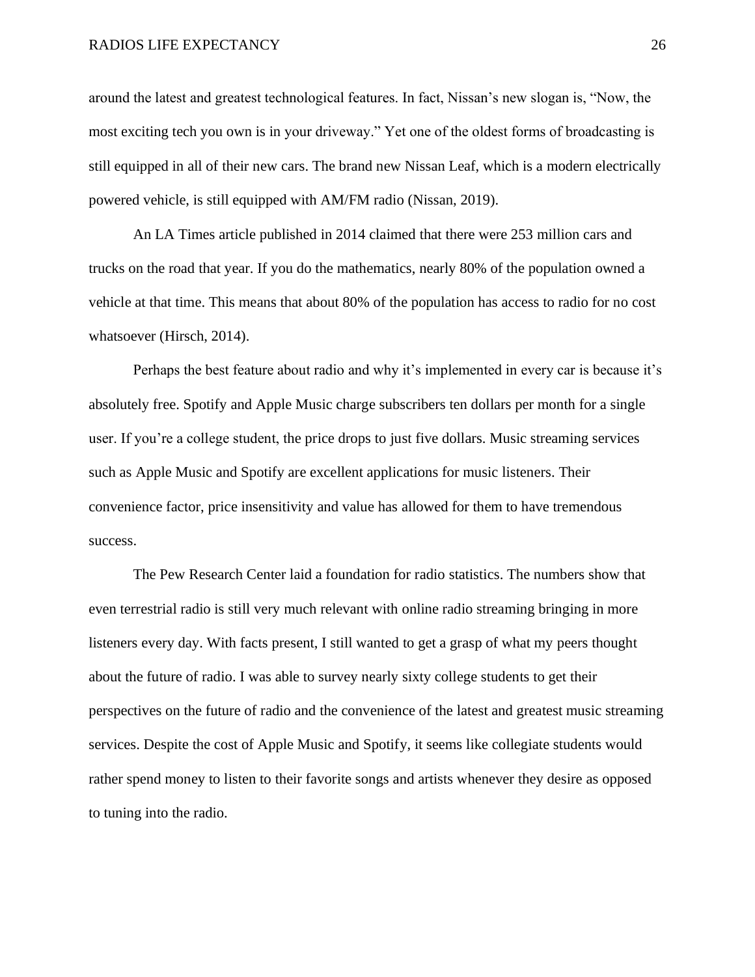#### RADIOS LIFE EXPECTANCY 26

around the latest and greatest technological features. In fact, Nissan's new slogan is, "Now, the most exciting tech you own is in your driveway." Yet one of the oldest forms of broadcasting is still equipped in all of their new cars. The brand new Nissan Leaf, which is a modern electrically powered vehicle, is still equipped with AM/FM radio (Nissan, 2019).

An LA Times article published in 2014 claimed that there were 253 million cars and trucks on the road that year. If you do the mathematics, nearly 80% of the population owned a vehicle at that time. This means that about 80% of the population has access to radio for no cost whatsoever (Hirsch, 2014).

Perhaps the best feature about radio and why it's implemented in every car is because it's absolutely free. Spotify and Apple Music charge subscribers ten dollars per month for a single user. If you're a college student, the price drops to just five dollars. Music streaming services such as Apple Music and Spotify are excellent applications for music listeners. Their convenience factor, price insensitivity and value has allowed for them to have tremendous success.

The Pew Research Center laid a foundation for radio statistics. The numbers show that even terrestrial radio is still very much relevant with online radio streaming bringing in more listeners every day. With facts present, I still wanted to get a grasp of what my peers thought about the future of radio. I was able to survey nearly sixty college students to get their perspectives on the future of radio and the convenience of the latest and greatest music streaming services. Despite the cost of Apple Music and Spotify, it seems like collegiate students would rather spend money to listen to their favorite songs and artists whenever they desire as opposed to tuning into the radio.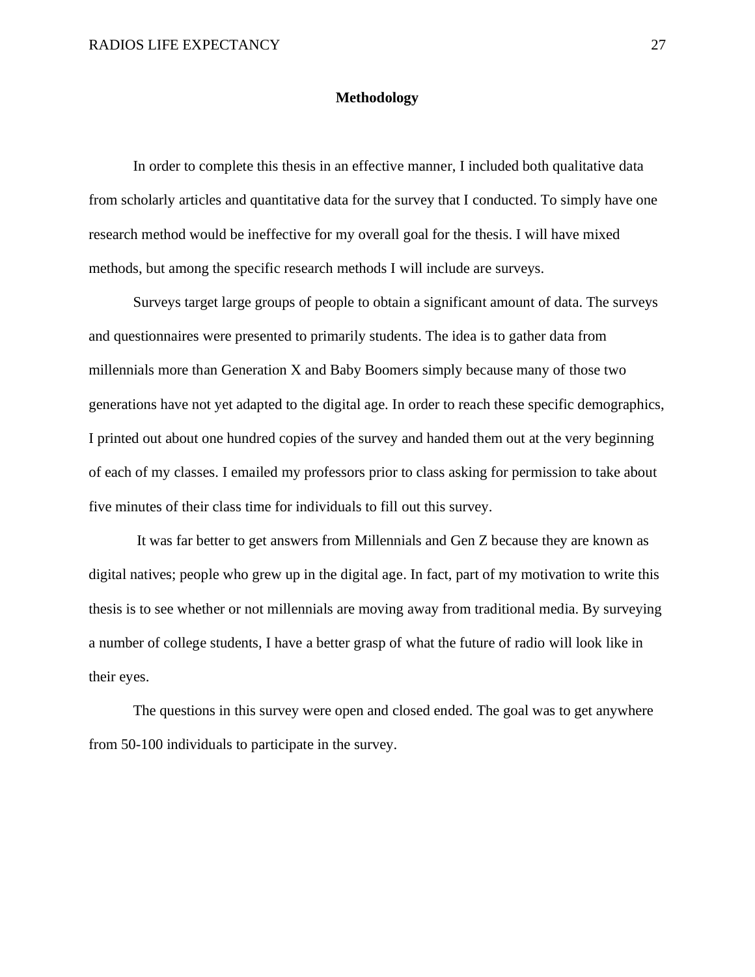#### **Methodology**

In order to complete this thesis in an effective manner, I included both qualitative data from scholarly articles and quantitative data for the survey that I conducted. To simply have one research method would be ineffective for my overall goal for the thesis. I will have mixed methods, but among the specific research methods I will include are surveys.

Surveys target large groups of people to obtain a significant amount of data. The surveys and questionnaires were presented to primarily students. The idea is to gather data from millennials more than Generation X and Baby Boomers simply because many of those two generations have not yet adapted to the digital age. In order to reach these specific demographics, I printed out about one hundred copies of the survey and handed them out at the very beginning of each of my classes. I emailed my professors prior to class asking for permission to take about five minutes of their class time for individuals to fill out this survey.

It was far better to get answers from Millennials and Gen Z because they are known as digital natives; people who grew up in the digital age. In fact, part of my motivation to write this thesis is to see whether or not millennials are moving away from traditional media. By surveying a number of college students, I have a better grasp of what the future of radio will look like in their eyes.

The questions in this survey were open and closed ended. The goal was to get anywhere from 50-100 individuals to participate in the survey.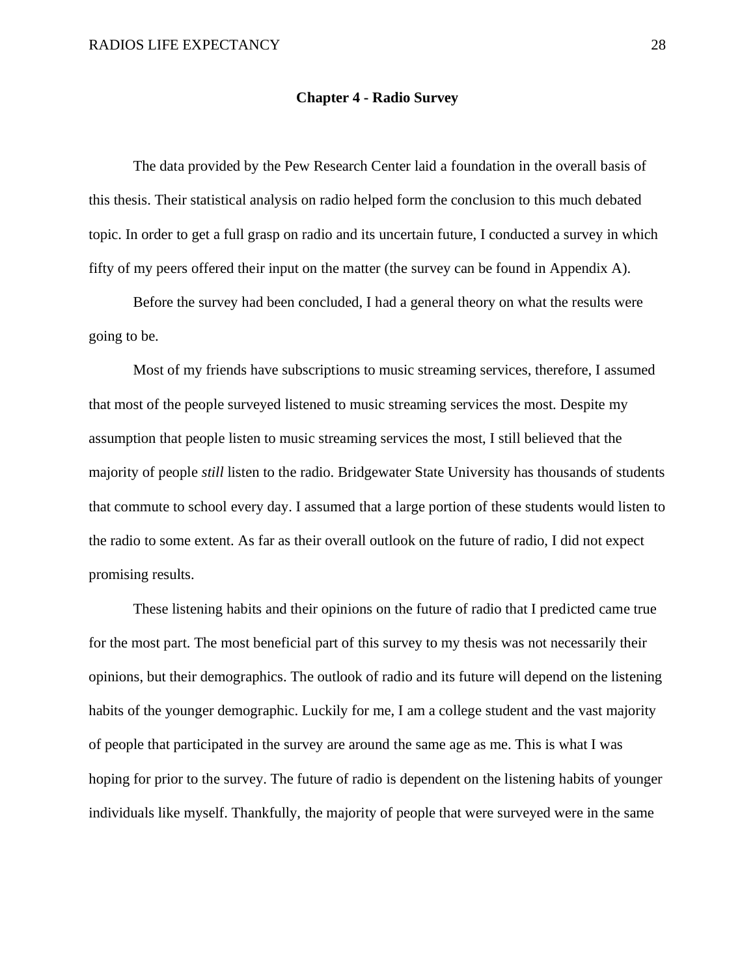#### **Chapter 4 - Radio Survey**

The data provided by the Pew Research Center laid a foundation in the overall basis of this thesis. Their statistical analysis on radio helped form the conclusion to this much debated topic. In order to get a full grasp on radio and its uncertain future, I conducted a survey in which fifty of my peers offered their input on the matter (the survey can be found in Appendix A).

Before the survey had been concluded, I had a general theory on what the results were going to be.

Most of my friends have subscriptions to music streaming services, therefore, I assumed that most of the people surveyed listened to music streaming services the most. Despite my assumption that people listen to music streaming services the most, I still believed that the majority of people *still* listen to the radio. Bridgewater State University has thousands of students that commute to school every day. I assumed that a large portion of these students would listen to the radio to some extent. As far as their overall outlook on the future of radio, I did not expect promising results.

These listening habits and their opinions on the future of radio that I predicted came true for the most part. The most beneficial part of this survey to my thesis was not necessarily their opinions, but their demographics. The outlook of radio and its future will depend on the listening habits of the younger demographic. Luckily for me, I am a college student and the vast majority of people that participated in the survey are around the same age as me. This is what I was hoping for prior to the survey. The future of radio is dependent on the listening habits of younger individuals like myself. Thankfully, the majority of people that were surveyed were in the same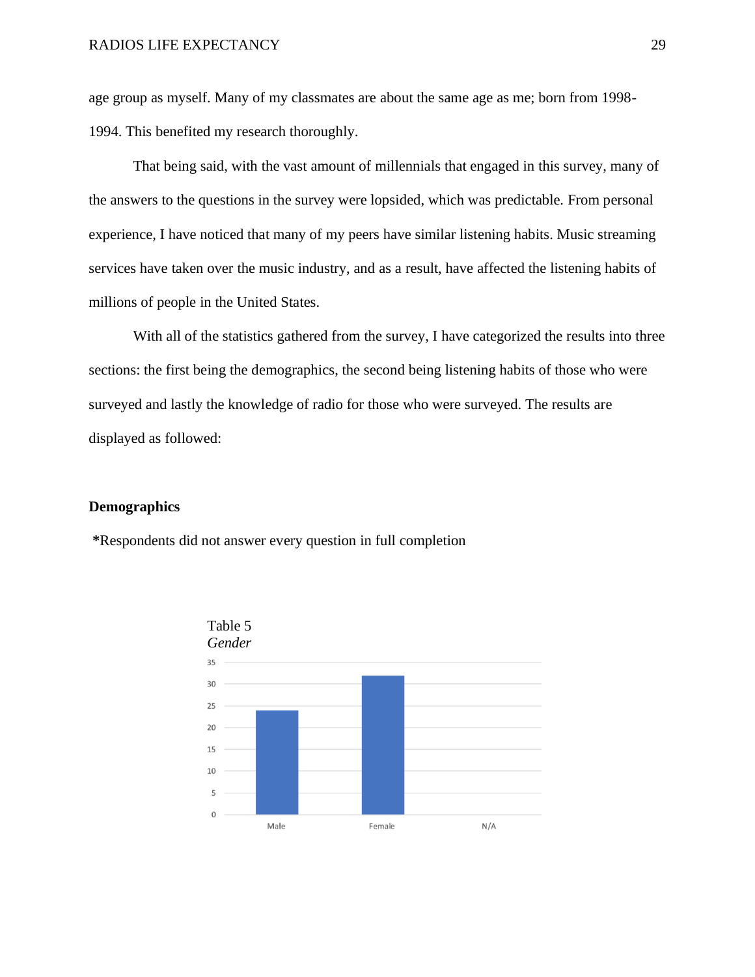age group as myself. Many of my classmates are about the same age as me; born from 1998- 1994. This benefited my research thoroughly.

That being said, with the vast amount of millennials that engaged in this survey, many of the answers to the questions in the survey were lopsided, which was predictable. From personal experience, I have noticed that many of my peers have similar listening habits. Music streaming services have taken over the music industry, and as a result, have affected the listening habits of millions of people in the United States.

With all of the statistics gathered from the survey, I have categorized the results into three sections: the first being the demographics, the second being listening habits of those who were surveyed and lastly the knowledge of radio for those who were surveyed. The results are displayed as followed:

#### **Demographics**

**\***Respondents did not answer every question in full completion

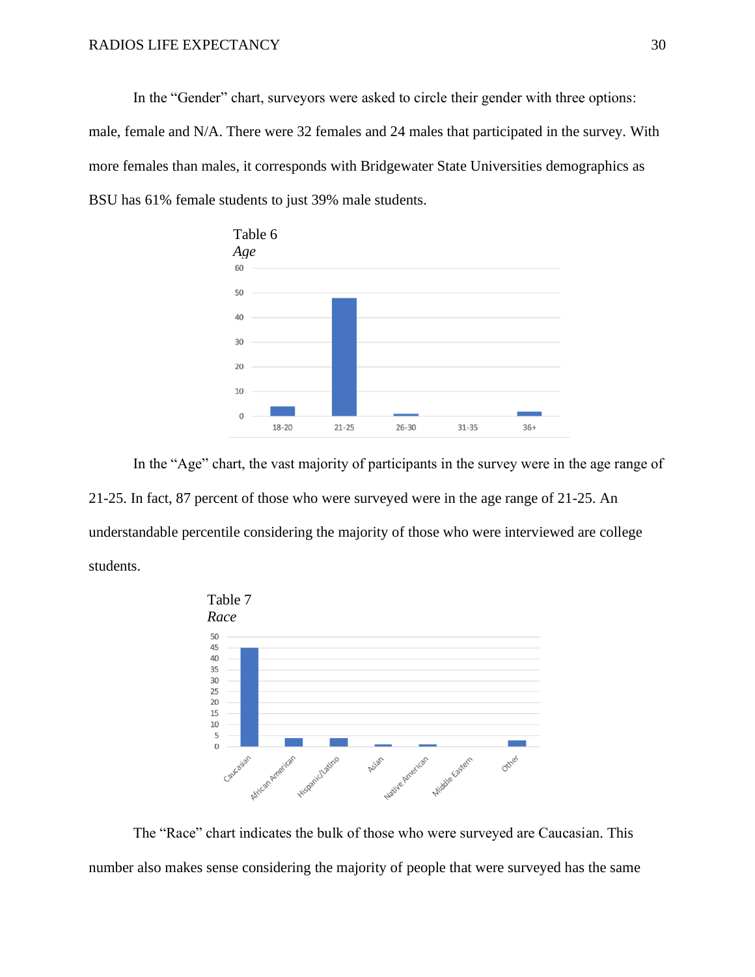In the "Gender" chart, surveyors were asked to circle their gender with three options: male, female and N/A. There were 32 females and 24 males that participated in the survey. With more females than males, it corresponds with Bridgewater State Universities demographics as BSU has 61% female students to just 39% male students.



In the "Age" chart, the vast majority of participants in the survey were in the age range of 21-25. In fact, 87 percent of those who were surveyed were in the age range of 21-25. An understandable percentile considering the majority of those who were interviewed are college students.



The "Race" chart indicates the bulk of those who were surveyed are Caucasian. This number also makes sense considering the majority of people that were surveyed has the same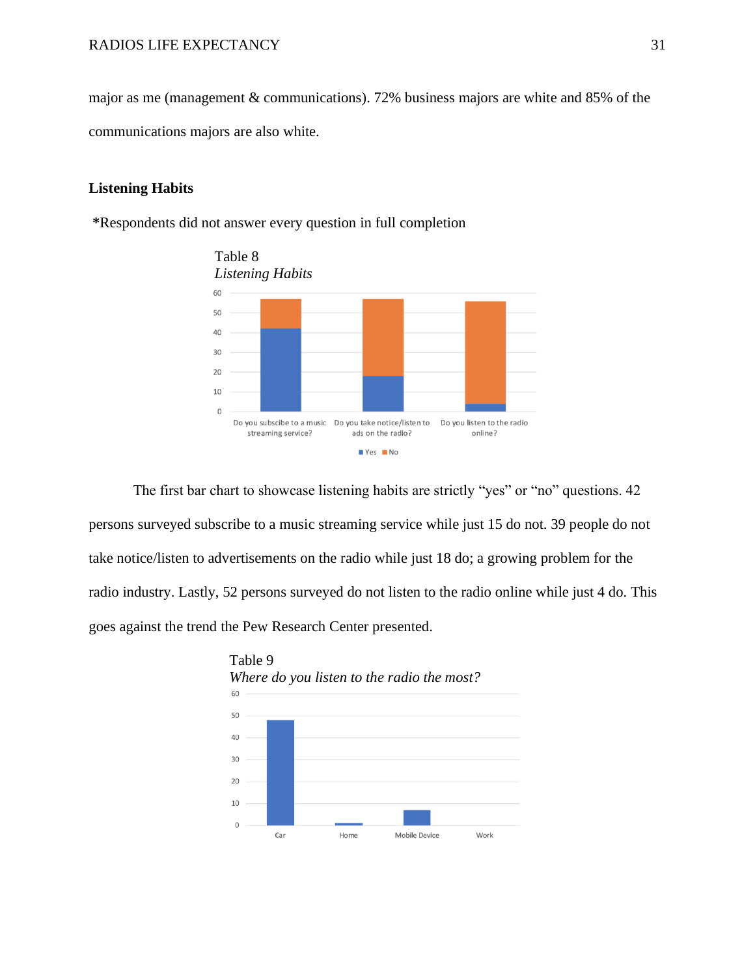major as me (management & communications). 72% business majors are white and 85% of the communications majors are also white.

#### **Listening Habits**

**\***Respondents did not answer every question in full completion



The first bar chart to showcase listening habits are strictly "yes" or "no" questions. 42 persons surveyed subscribe to a music streaming service while just 15 do not. 39 people do not take notice/listen to advertisements on the radio while just 18 do; a growing problem for the radio industry. Lastly, 52 persons surveyed do not listen to the radio online while just 4 do. This goes against the trend the Pew Research Center presented.

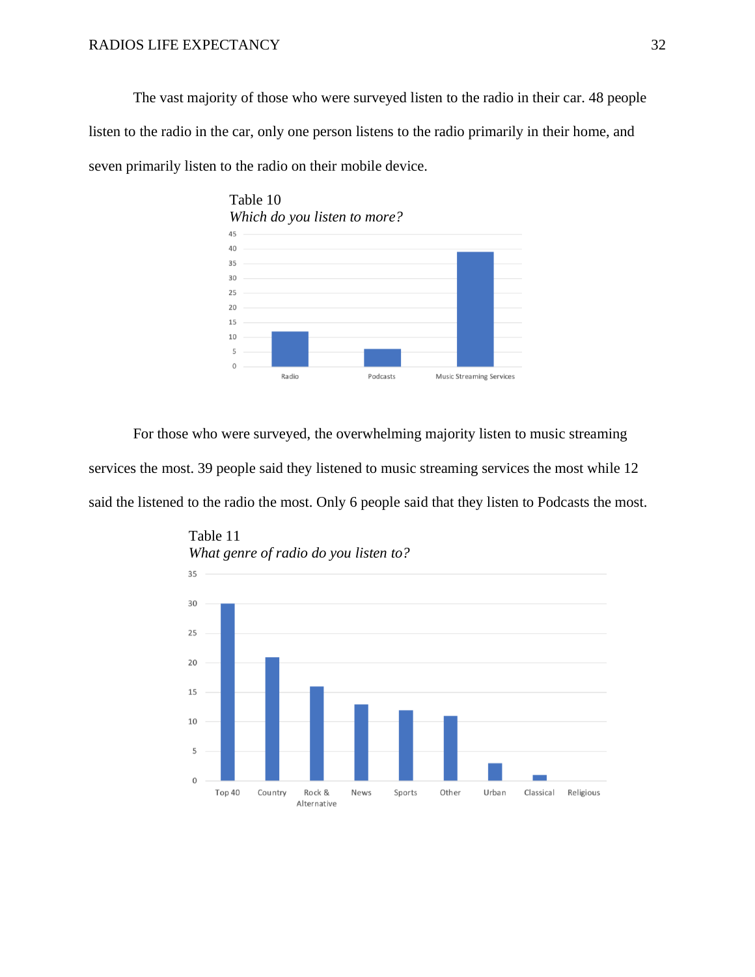The vast majority of those who were surveyed listen to the radio in their car. 48 people listen to the radio in the car, only one person listens to the radio primarily in their home, and seven primarily listen to the radio on their mobile device.



For those who were surveyed, the overwhelming majority listen to music streaming services the most. 39 people said they listened to music streaming services the most while 12 said the listened to the radio the most. Only 6 people said that they listen to Podcasts the most.



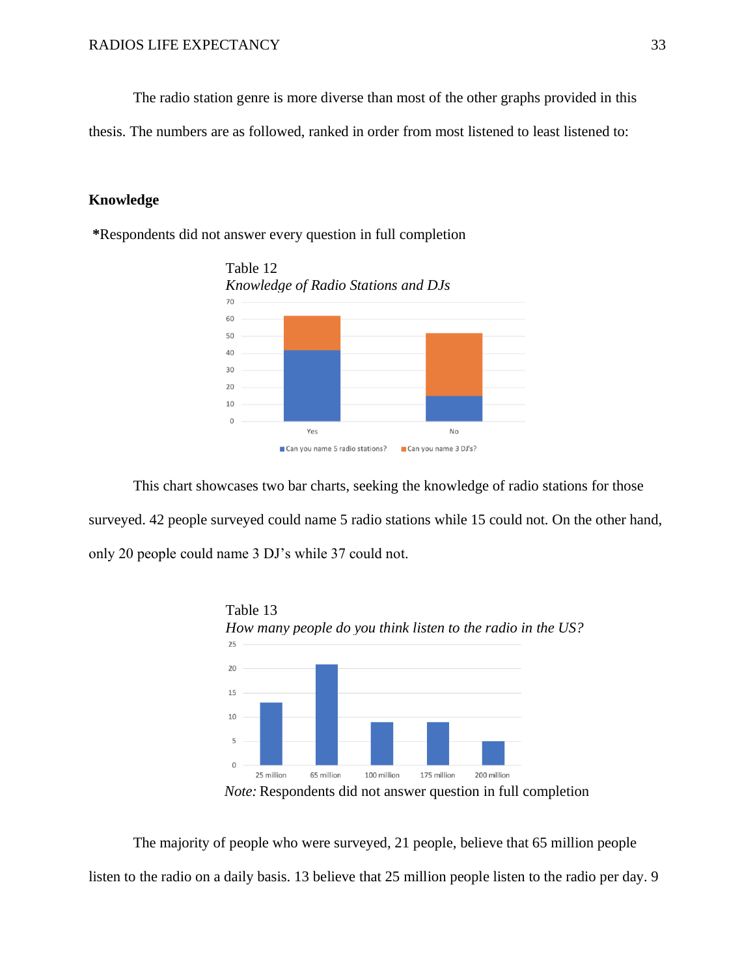The radio station genre is more diverse than most of the other graphs provided in this

thesis. The numbers are as followed, ranked in order from most listened to least listened to:

## **Knowledge**

**\***Respondents did not answer every question in full completion



This chart showcases two bar charts, seeking the knowledge of radio stations for those surveyed. 42 people surveyed could name 5 radio stations while 15 could not. On the other hand, only 20 people could name 3 DJ's while 37 could not.



 *Note:* Respondents did not answer question in full completion

The majority of people who were surveyed, 21 people, believe that 65 million people listen to the radio on a daily basis. 13 believe that 25 million people listen to the radio per day. 9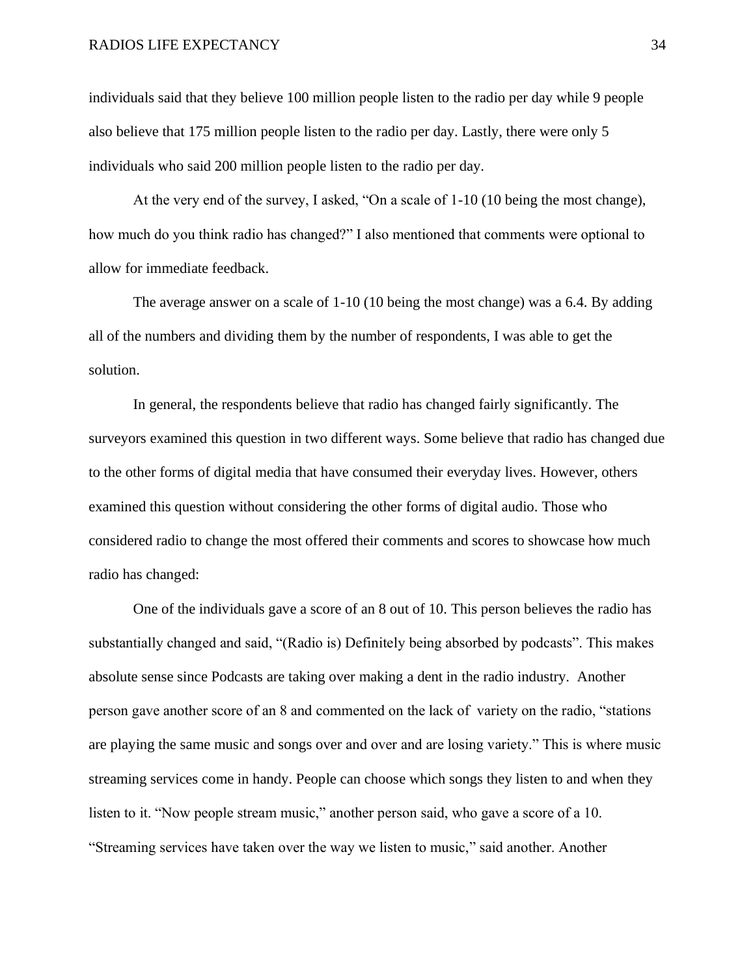individuals said that they believe 100 million people listen to the radio per day while 9 people also believe that 175 million people listen to the radio per day. Lastly, there were only 5 individuals who said 200 million people listen to the radio per day.

At the very end of the survey, I asked, "On a scale of 1-10 (10 being the most change), how much do you think radio has changed?" I also mentioned that comments were optional to allow for immediate feedback.

The average answer on a scale of 1-10 (10 being the most change) was a 6.4. By adding all of the numbers and dividing them by the number of respondents, I was able to get the solution.

In general, the respondents believe that radio has changed fairly significantly. The surveyors examined this question in two different ways. Some believe that radio has changed due to the other forms of digital media that have consumed their everyday lives. However, others examined this question without considering the other forms of digital audio. Those who considered radio to change the most offered their comments and scores to showcase how much radio has changed:

One of the individuals gave a score of an 8 out of 10. This person believes the radio has substantially changed and said, "(Radio is) Definitely being absorbed by podcasts". This makes absolute sense since Podcasts are taking over making a dent in the radio industry. Another person gave another score of an 8 and commented on the lack of variety on the radio, "stations are playing the same music and songs over and over and are losing variety." This is where music streaming services come in handy. People can choose which songs they listen to and when they listen to it. "Now people stream music," another person said, who gave a score of a 10. "Streaming services have taken over the way we listen to music," said another. Another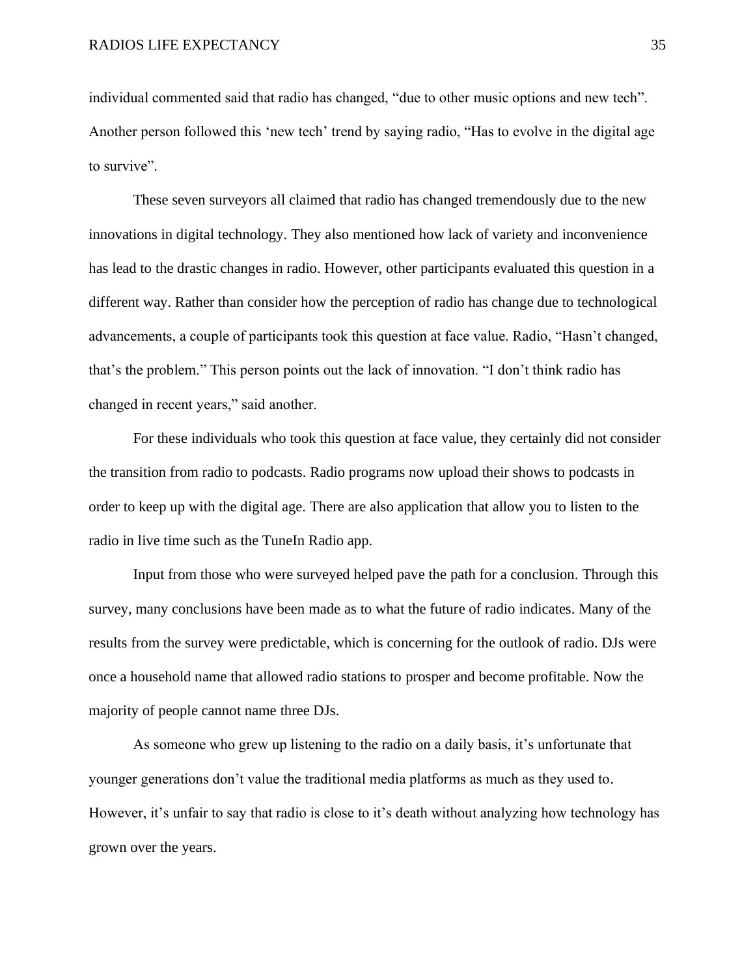individual commented said that radio has changed, "due to other music options and new tech". Another person followed this 'new tech' trend by saying radio, "Has to evolve in the digital age to survive".

These seven surveyors all claimed that radio has changed tremendously due to the new innovations in digital technology. They also mentioned how lack of variety and inconvenience has lead to the drastic changes in radio. However, other participants evaluated this question in a different way. Rather than consider how the perception of radio has change due to technological advancements, a couple of participants took this question at face value. Radio, "Hasn't changed, that's the problem." This person points out the lack of innovation. "I don't think radio has changed in recent years," said another.

For these individuals who took this question at face value, they certainly did not consider the transition from radio to podcasts. Radio programs now upload their shows to podcasts in order to keep up with the digital age. There are also application that allow you to listen to the radio in live time such as the TuneIn Radio app.

Input from those who were surveyed helped pave the path for a conclusion. Through this survey, many conclusions have been made as to what the future of radio indicates. Many of the results from the survey were predictable, which is concerning for the outlook of radio. DJs were once a household name that allowed radio stations to prosper and become profitable. Now the majority of people cannot name three DJs.

As someone who grew up listening to the radio on a daily basis, it's unfortunate that younger generations don't value the traditional media platforms as much as they used to. However, it's unfair to say that radio is close to it's death without analyzing how technology has grown over the years.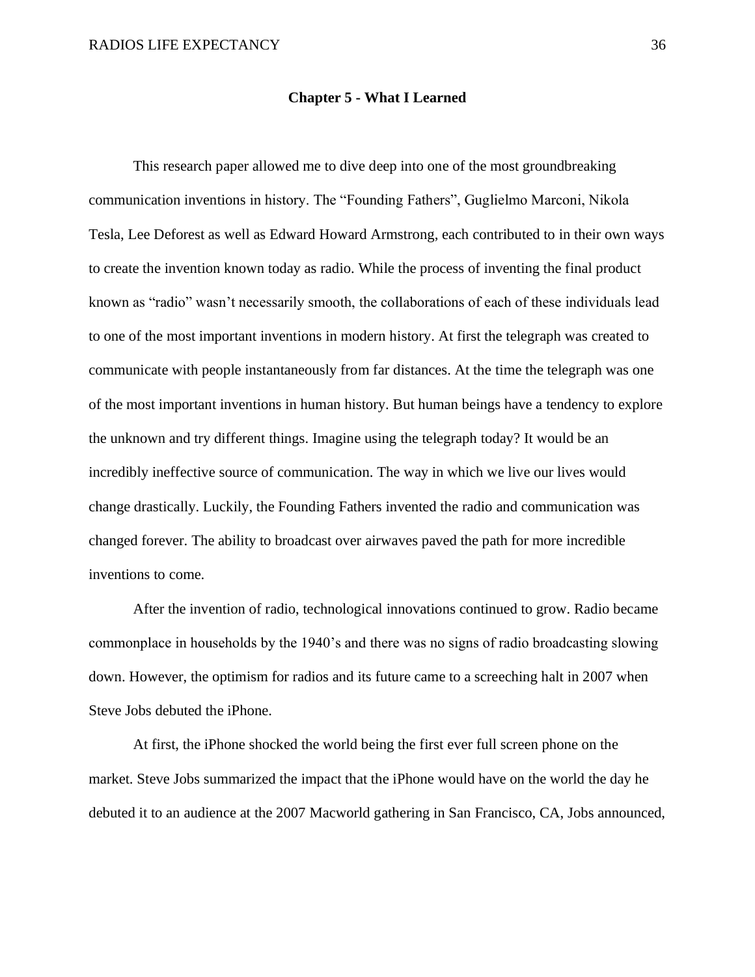#### **Chapter 5 - What I Learned**

This research paper allowed me to dive deep into one of the most groundbreaking communication inventions in history. The "Founding Fathers", Guglielmo Marconi, Nikola Tesla, Lee Deforest as well as Edward Howard Armstrong, each contributed to in their own ways to create the invention known today as radio. While the process of inventing the final product known as "radio" wasn't necessarily smooth, the collaborations of each of these individuals lead to one of the most important inventions in modern history. At first the telegraph was created to communicate with people instantaneously from far distances. At the time the telegraph was one of the most important inventions in human history. But human beings have a tendency to explore the unknown and try different things. Imagine using the telegraph today? It would be an incredibly ineffective source of communication. The way in which we live our lives would change drastically. Luckily, the Founding Fathers invented the radio and communication was changed forever. The ability to broadcast over airwaves paved the path for more incredible inventions to come.

After the invention of radio, technological innovations continued to grow. Radio became commonplace in households by the 1940's and there was no signs of radio broadcasting slowing down. However, the optimism for radios and its future came to a screeching halt in 2007 when Steve Jobs debuted the iPhone.

At first, the iPhone shocked the world being the first ever full screen phone on the market. Steve Jobs summarized the impact that the iPhone would have on the world the day he debuted it to an audience at the 2007 Macworld gathering in San Francisco, CA, Jobs announced,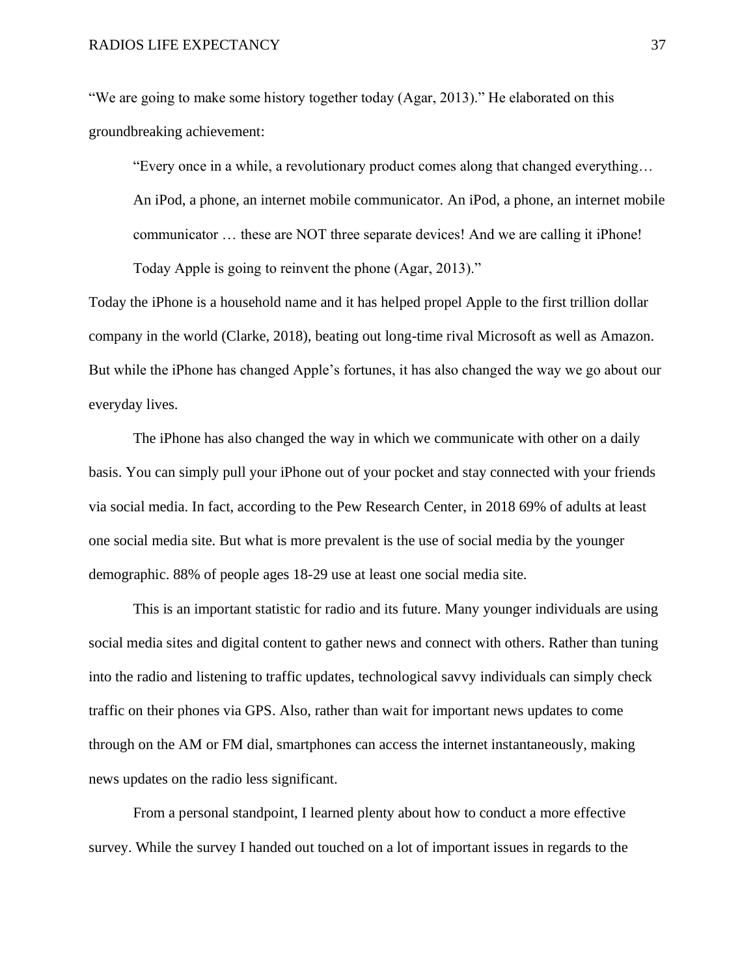"We are going to make some history together today (Agar, 2013)." He elaborated on this groundbreaking achievement:

"Every once in a while, a revolutionary product comes along that changed everything… An iPod, a phone, an internet mobile communicator. An iPod, a phone, an internet mobile communicator … these are NOT three separate devices! And we are calling it iPhone! Today Apple is going to reinvent the phone (Agar, 2013)."

Today the iPhone is a household name and it has helped propel Apple to the first trillion dollar company in the world (Clarke, 2018), beating out long-time rival Microsoft as well as Amazon. But while the iPhone has changed Apple's fortunes, it has also changed the way we go about our everyday lives.

The iPhone has also changed the way in which we communicate with other on a daily basis. You can simply pull your iPhone out of your pocket and stay connected with your friends via social media. In fact, according to the Pew Research Center, in 2018 69% of adults at least one social media site. But what is more prevalent is the use of social media by the younger demographic. 88% of people ages 18-29 use at least one social media site.

This is an important statistic for radio and its future. Many younger individuals are using social media sites and digital content to gather news and connect with others. Rather than tuning into the radio and listening to traffic updates, technological savvy individuals can simply check traffic on their phones via GPS. Also, rather than wait for important news updates to come through on the AM or FM dial, smartphones can access the internet instantaneously, making news updates on the radio less significant.

From a personal standpoint, I learned plenty about how to conduct a more effective survey. While the survey I handed out touched on a lot of important issues in regards to the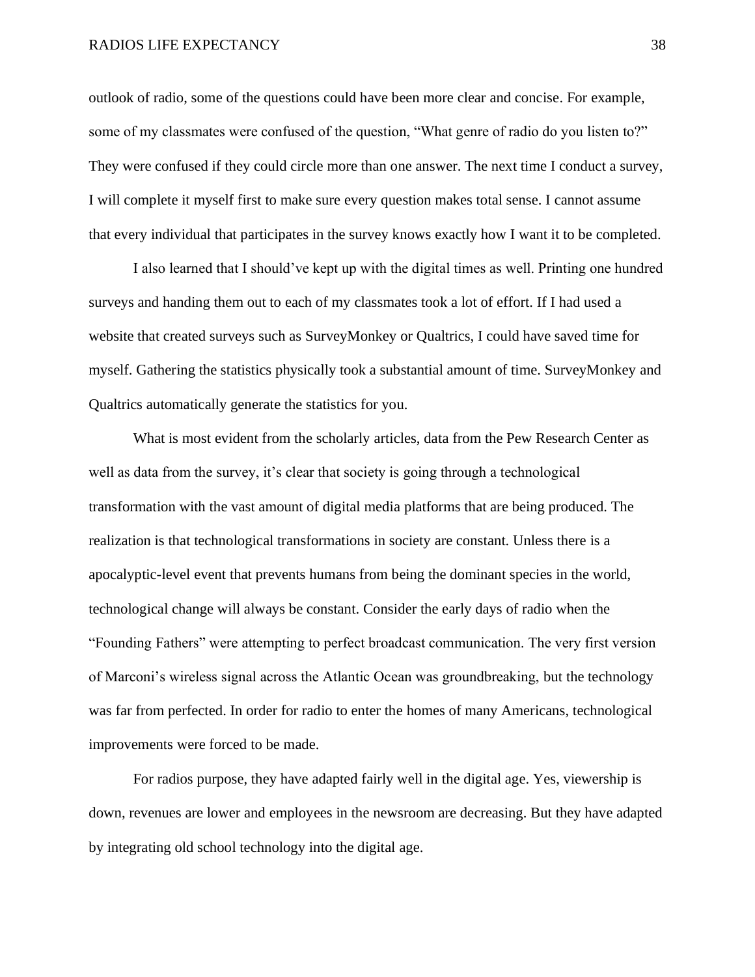#### RADIOS LIFE EXPECTANCY 38

outlook of radio, some of the questions could have been more clear and concise. For example, some of my classmates were confused of the question, "What genre of radio do you listen to?" They were confused if they could circle more than one answer. The next time I conduct a survey, I will complete it myself first to make sure every question makes total sense. I cannot assume that every individual that participates in the survey knows exactly how I want it to be completed.

I also learned that I should've kept up with the digital times as well. Printing one hundred surveys and handing them out to each of my classmates took a lot of effort. If I had used a website that created surveys such as SurveyMonkey or Qualtrics, I could have saved time for myself. Gathering the statistics physically took a substantial amount of time. SurveyMonkey and Qualtrics automatically generate the statistics for you.

What is most evident from the scholarly articles, data from the Pew Research Center as well as data from the survey, it's clear that society is going through a technological transformation with the vast amount of digital media platforms that are being produced. The realization is that technological transformations in society are constant. Unless there is a apocalyptic-level event that prevents humans from being the dominant species in the world, technological change will always be constant. Consider the early days of radio when the "Founding Fathers" were attempting to perfect broadcast communication. The very first version of Marconi's wireless signal across the Atlantic Ocean was groundbreaking, but the technology was far from perfected. In order for radio to enter the homes of many Americans, technological improvements were forced to be made.

For radios purpose, they have adapted fairly well in the digital age. Yes, viewership is down, revenues are lower and employees in the newsroom are decreasing. But they have adapted by integrating old school technology into the digital age.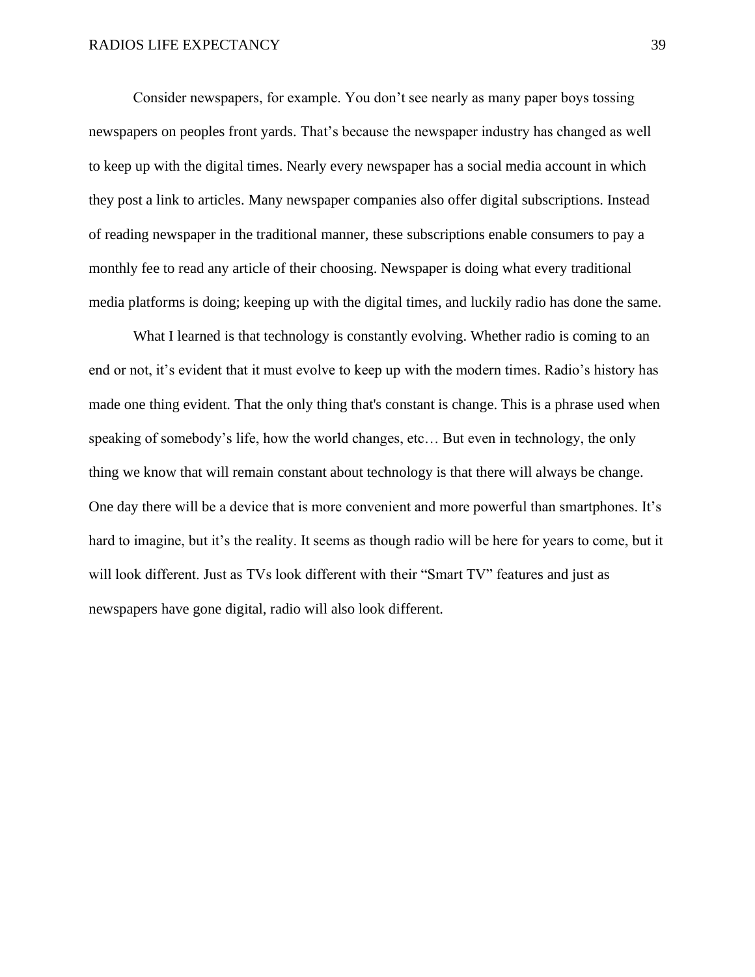Consider newspapers, for example. You don't see nearly as many paper boys tossing newspapers on peoples front yards. That's because the newspaper industry has changed as well to keep up with the digital times. Nearly every newspaper has a social media account in which they post a link to articles. Many newspaper companies also offer digital subscriptions. Instead of reading newspaper in the traditional manner, these subscriptions enable consumers to pay a monthly fee to read any article of their choosing. Newspaper is doing what every traditional media platforms is doing; keeping up with the digital times, and luckily radio has done the same.

What I learned is that technology is constantly evolving. Whether radio is coming to an end or not, it's evident that it must evolve to keep up with the modern times. Radio's history has made one thing evident. That the only thing that's constant is change. This is a phrase used when speaking of somebody's life, how the world changes, etc… But even in technology, the only thing we know that will remain constant about technology is that there will always be change. One day there will be a device that is more convenient and more powerful than smartphones. It's hard to imagine, but it's the reality. It seems as though radio will be here for years to come, but it will look different. Just as TVs look different with their "Smart TV" features and just as newspapers have gone digital, radio will also look different.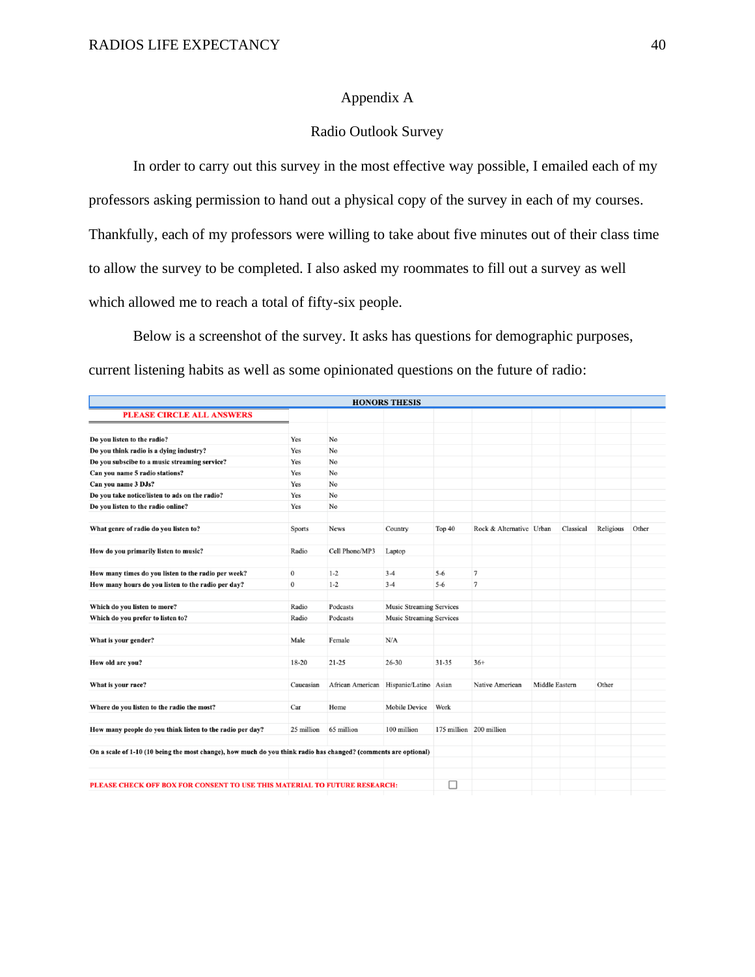## Appendix A

## Radio Outlook Survey

In order to carry out this survey in the most effective way possible, I emailed each of my professors asking permission to hand out a physical copy of the survey in each of my courses. Thankfully, each of my professors were willing to take about five minutes out of their class time to allow the survey to be completed. I also asked my roommates to fill out a survey as well which allowed me to reach a total of fifty-six people.

Below is a screenshot of the survey. It asks has questions for demographic purposes, current listening habits as well as some opinionated questions on the future of radio:

| <b>HONORS THESIS</b>                                                                                            |            |                  |                                 |           |                          |                       |           |           |       |  |  |
|-----------------------------------------------------------------------------------------------------------------|------------|------------------|---------------------------------|-----------|--------------------------|-----------------------|-----------|-----------|-------|--|--|
| <b>PLEASE CIRCLE ALL ANSWERS</b>                                                                                |            |                  |                                 |           |                          |                       |           |           |       |  |  |
| Do you listen to the radio?                                                                                     | Yes        | No               |                                 |           |                          |                       |           |           |       |  |  |
| Do you think radio is a dying industry?                                                                         | Yes        | No               |                                 |           |                          |                       |           |           |       |  |  |
| Do you subscibe to a music streaming service?                                                                   | Yes        | No               |                                 |           |                          |                       |           |           |       |  |  |
| Can you name 5 radio stations?                                                                                  | Yes        | No               |                                 |           |                          |                       |           |           |       |  |  |
| Can vou name 3 DJs?                                                                                             | Yes        | No               |                                 |           |                          |                       |           |           |       |  |  |
| Do you take notice/listen to ads on the radio?                                                                  | Yes        | No               |                                 |           |                          |                       |           |           |       |  |  |
| Do you listen to the radio online?                                                                              | Yes        | No               |                                 |           |                          |                       |           |           |       |  |  |
| What genre of radio do you listen to?                                                                           | Sports     | News             | Country                         | Top 40    | Rock & Alternative Urban |                       | Classical | Religious | Other |  |  |
| How do you primarily listen to music?                                                                           | Radio      | Cell Phone/MP3   | Laptop                          |           |                          |                       |           |           |       |  |  |
| How many times do you listen to the radio per week?                                                             | $\bf{0}$   | $1 - 2$          | $3 - 4$                         | $5 - 6$   | $\overline{7}$           |                       |           |           |       |  |  |
| How many hours do you listen to the radio per day?                                                              | $\bf{0}$   | $1 - 2$          | $3 - 4$                         | $5 - 6$   | $\overline{7}$           |                       |           |           |       |  |  |
| Which do you listen to more?                                                                                    | Radio      | Podcasts         | <b>Music Streaming Services</b> |           |                          |                       |           |           |       |  |  |
| Which do you prefer to listen to?                                                                               | Radio      | Podcasts         | <b>Music Streaming Services</b> |           |                          |                       |           |           |       |  |  |
| What is your gender?                                                                                            | Male       | Female           | N/A                             |           |                          |                       |           |           |       |  |  |
| How old are you?                                                                                                | 18-20      | $21 - 25$        | $26 - 30$                       | $31 - 35$ | $36+$                    |                       |           |           |       |  |  |
| What is your race?                                                                                              | Caucasian  | African American | Hispanic/Latino Asian           |           | Native American          | <b>Middle Eastern</b> |           | Other     |       |  |  |
| Where do you listen to the radio the most?                                                                      | Car        | Home             | Mobile Device                   | Work      |                          |                       |           |           |       |  |  |
| How many people do you think listen to the radio per day?                                                       | 25 million | 65 million       | 100 million                     |           | 175 million 200 million  |                       |           |           |       |  |  |
| On a scale of 1-10 (10 being the most change), how much do you think radio has changed? (comments are optional) |            |                  |                                 |           |                          |                       |           |           |       |  |  |
|                                                                                                                 |            |                  |                                 |           |                          |                       |           |           |       |  |  |
| PLEASE CHECK OFF BOX FOR CONSENT TO USE THIS MATERIAL TO FUTURE RESEARCH:                                       |            |                  |                                 | □         |                          |                       |           |           |       |  |  |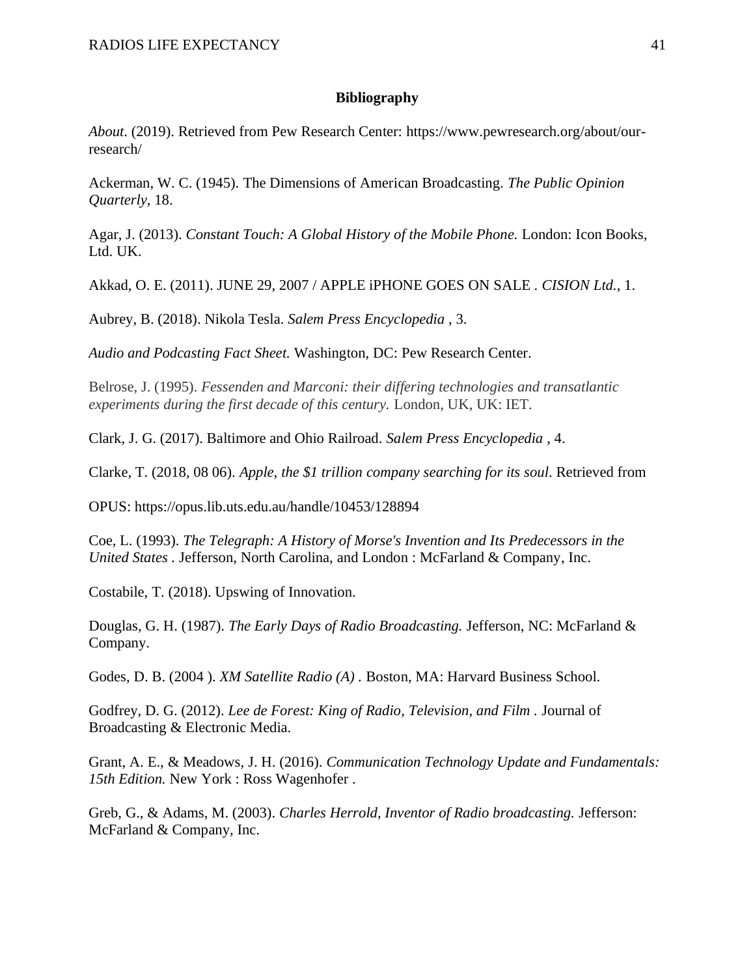#### **Bibliography**

*About*. (2019). Retrieved from Pew Research Center: https://www.pewresearch.org/about/ourresearch/

Ackerman, W. C. (1945). The Dimensions of American Broadcasting. *The Public Opinion Quarterly*, 18.

Agar, J. (2013). *Constant Touch: A Global History of the Mobile Phone.* London: Icon Books, Ltd. UK.

Akkad, O. E. (2011). JUNE 29, 2007 / APPLE iPHONE GOES ON SALE . *CISION Ltd.*, 1.

Aubrey, B. (2018). Nikola Tesla. *Salem Press Encyclopedia* , 3.

*Audio and Podcasting Fact Sheet.* Washington, DC: Pew Research Center.

Belrose, J. (1995). *Fessenden and Marconi: their differing technologies and transatlantic experiments during the first decade of this century.* London, UK, UK: IET.

Clark, J. G. (2017). Baltimore and Ohio Railroad. *Salem Press Encyclopedia* , 4.

Clarke, T. (2018, 08 06). *Apple, the \$1 trillion company searching for its soul*. Retrieved from

OPUS: https://opus.lib.uts.edu.au/handle/10453/128894

Coe, L. (1993). *The Telegraph: A History of Morse's Invention and Its Predecessors in the United States .* Jefferson, North Carolina, and London : McFarland & Company, Inc.

Costabile, T. (2018). Upswing of Innovation.

Douglas, G. H. (1987). *The Early Days of Radio Broadcasting.* Jefferson, NC: McFarland & Company.

Godes, D. B. (2004 ). *XM Satellite Radio (A) .* Boston, MA: Harvard Business School.

Godfrey, D. G. (2012). *Lee de Forest: King of Radio, Television, and Film .* Journal of Broadcasting & Electronic Media.

Grant, A. E., & Meadows, J. H. (2016). *Communication Technology Update and Fundamentals: 15th Edition.* New York : Ross Wagenhofer .

Greb, G., & Adams, M. (2003). *Charles Herrold, Inventor of Radio broadcasting.* Jefferson: McFarland & Company, Inc.